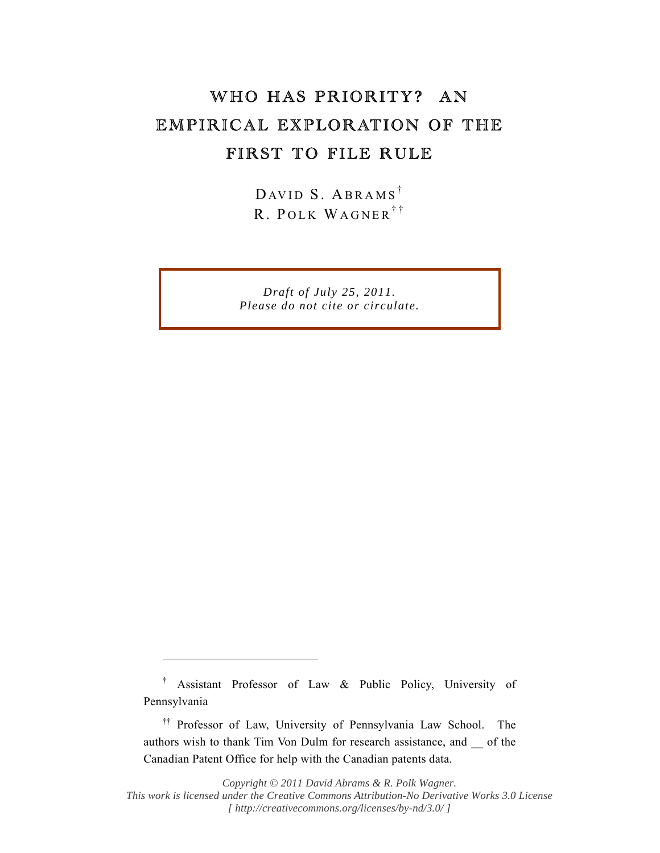## WHO HAS PRIORITY? AN EMPIRICAL EXPLORATION OF THE FIRST TO FILE RULE

DAVID S. ABRAMS<sup>†</sup> R. POLK WAGNER<sup>††</sup>

*Draft of July 25, 2011. Please do not cite or circulate.* 

 $\overline{a}$ 

*Copyright © 2011 David Abrams & R. Polk Wagner. This work is licensed under the Creative Commons Attribution-No Derivative Works 3.0 License [ http://creativecommons.org/licenses/by-nd/3.0/ ]* 

<sup>†</sup> Assistant Professor of Law & Public Policy, University of Pennsylvania

<sup>††</sup> Professor of Law, University of Pennsylvania Law School. The authors wish to thank Tim Von Dulm for research assistance, and \_\_ of the Canadian Patent Office for help with the Canadian patents data.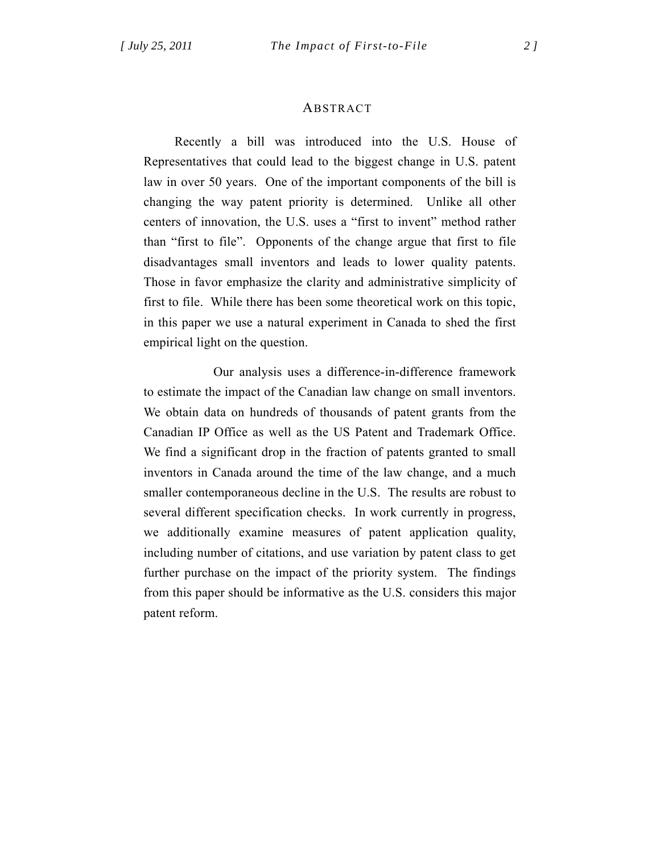### ABSTRACT

 Recently a bill was introduced into the U.S. House of Representatives that could lead to the biggest change in U.S. patent law in over 50 years. One of the important components of the bill is changing the way patent priority is determined. Unlike all other centers of innovation, the U.S. uses a "first to invent" method rather than "first to file". Opponents of the change argue that first to file disadvantages small inventors and leads to lower quality patents. Those in favor emphasize the clarity and administrative simplicity of first to file. While there has been some theoretical work on this topic, in this paper we use a natural experiment in Canada to shed the first empirical light on the question.

 Our analysis uses a difference-in-difference framework to estimate the impact of the Canadian law change on small inventors. We obtain data on hundreds of thousands of patent grants from the Canadian IP Office as well as the US Patent and Trademark Office. We find a significant drop in the fraction of patents granted to small inventors in Canada around the time of the law change, and a much smaller contemporaneous decline in the U.S. The results are robust to several different specification checks. In work currently in progress, we additionally examine measures of patent application quality, including number of citations, and use variation by patent class to get further purchase on the impact of the priority system. The findings from this paper should be informative as the U.S. considers this major patent reform.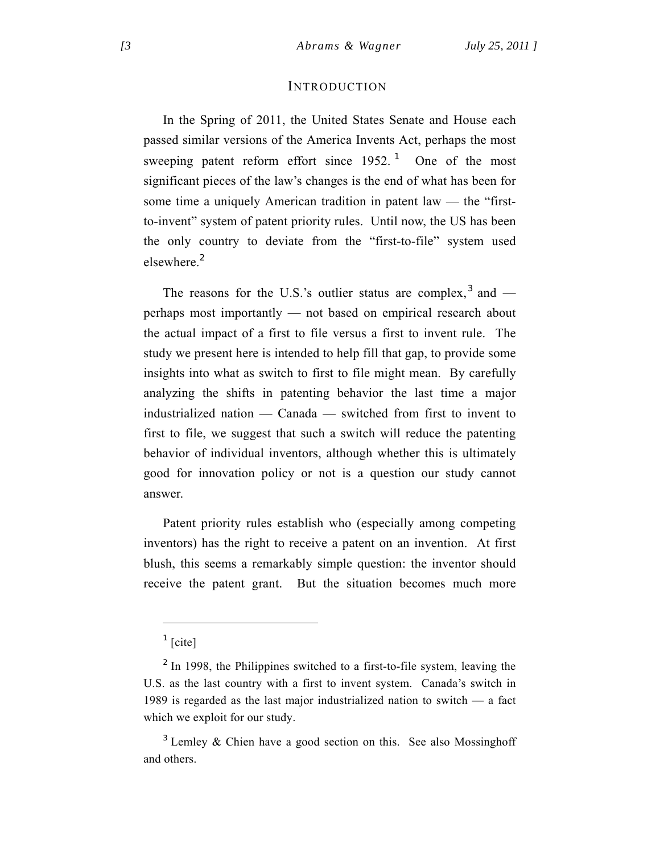#### INTRODUCTION

In the Spring of 2011, the United States Senate and House each passed similar versions of the America Invents Act, perhaps the most sweeping patent reform effort since  $1952$ .<sup>1</sup> One of the most significant pieces of the law's changes is the end of what has been for some time a uniquely American tradition in patent law — the "firstto-invent" system of patent priority rules. Until now, the US has been the only country to deviate from the "first-to-file" system used elsewhere<sup>2</sup>

The reasons for the U.S.'s outlier status are complex,  $3$  and perhaps most importantly — not based on empirical research about the actual impact of a first to file versus a first to invent rule. The study we present here is intended to help fill that gap, to provide some insights into what as switch to first to file might mean. By carefully analyzing the shifts in patenting behavior the last time a major industrialized nation — Canada — switched from first to invent to first to file, we suggest that such a switch will reduce the patenting behavior of individual inventors, although whether this is ultimately good for innovation policy or not is a question our study cannot answer.

Patent priority rules establish who (especially among competing inventors) has the right to receive a patent on an invention. At first blush, this seems a remarkably simple question: the inventor should receive the patent grant. But the situation becomes much more

 $\frac{1}{\text{}}$  [cite]

 $2$  In 1998, the Philippines switched to a first-to-file system, leaving the U.S. as the last country with a first to invent system. Canada's switch in 1989 is regarded as the last major industrialized nation to switch — a fact which we exploit for our study.

 $3$  Lemley & Chien have a good section on this. See also Mossinghoff and others.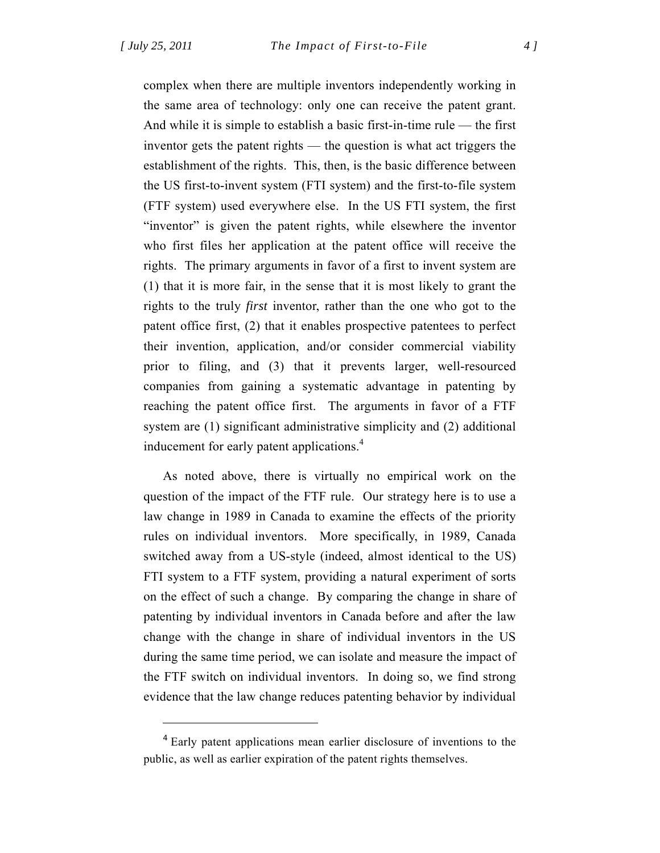$\overline{a}$ 

complex when there are multiple inventors independently working in the same area of technology: only one can receive the patent grant. And while it is simple to establish a basic first-in-time rule — the first inventor gets the patent rights — the question is what act triggers the establishment of the rights. This, then, is the basic difference between the US first-to-invent system (FTI system) and the first-to-file system (FTF system) used everywhere else. In the US FTI system, the first "inventor" is given the patent rights, while elsewhere the inventor who first files her application at the patent office will receive the rights. The primary arguments in favor of a first to invent system are (1) that it is more fair, in the sense that it is most likely to grant the rights to the truly *first* inventor, rather than the one who got to the patent office first, (2) that it enables prospective patentees to perfect their invention, application, and/or consider commercial viability prior to filing, and (3) that it prevents larger, well-resourced companies from gaining a systematic advantage in patenting by reaching the patent office first. The arguments in favor of a FTF system are (1) significant administrative simplicity and (2) additional inducement for early patent applications.<sup>4</sup>

As noted above, there is virtually no empirical work on the question of the impact of the FTF rule. Our strategy here is to use a law change in 1989 in Canada to examine the effects of the priority rules on individual inventors. More specifically, in 1989, Canada switched away from a US-style (indeed, almost identical to the US) FTI system to a FTF system, providing a natural experiment of sorts on the effect of such a change. By comparing the change in share of patenting by individual inventors in Canada before and after the law change with the change in share of individual inventors in the US during the same time period, we can isolate and measure the impact of the FTF switch on individual inventors. In doing so, we find strong evidence that the law change reduces patenting behavior by individual

<sup>&</sup>lt;sup>4</sup> Early patent applications mean earlier disclosure of inventions to the public, as well as earlier expiration of the patent rights themselves.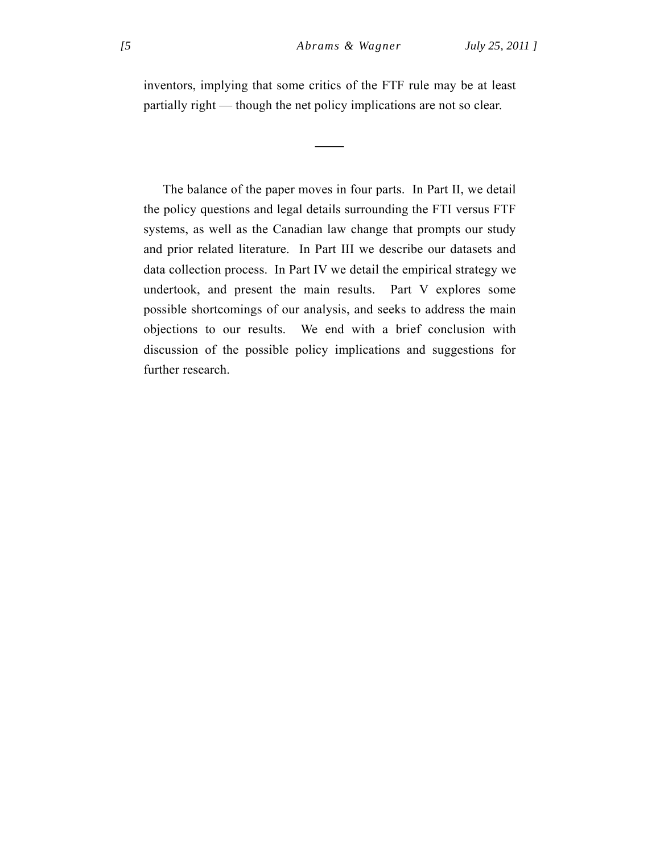inventors, implying that some critics of the FTF rule may be at least partially right — though the net policy implications are not so clear.

—<br>————

The balance of the paper moves in four parts. In Part II, we detail the policy questions and legal details surrounding the FTI versus FTF systems, as well as the Canadian law change that prompts our study and prior related literature. In Part III we describe our datasets and data collection process. In Part IV we detail the empirical strategy we undertook, and present the main results. Part V explores some possible shortcomings of our analysis, and seeks to address the main objections to our results. We end with a brief conclusion with discussion of the possible policy implications and suggestions for further research.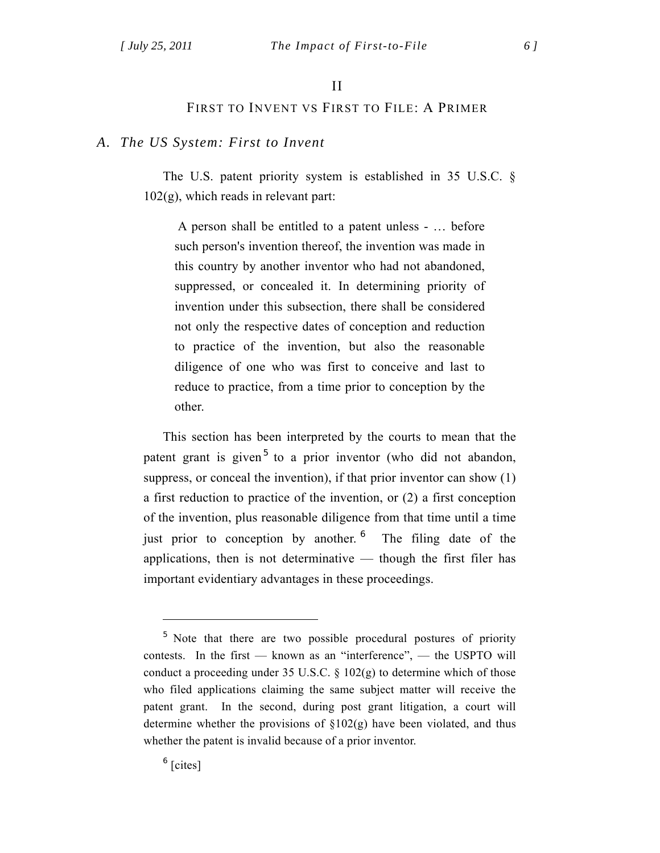## II

## FIRST TO INVENT VS FIRST TO FILE: A PRIMER

## *A. The US System: First to Invent*

The U.S. patent priority system is established in 35 U.S.C. §  $102(g)$ , which reads in relevant part:

 A person shall be entitled to a patent unless - … before such person's invention thereof, the invention was made in this country by another inventor who had not abandoned, suppressed, or concealed it. In determining priority of invention under this subsection, there shall be considered not only the respective dates of conception and reduction to practice of the invention, but also the reasonable diligence of one who was first to conceive and last to reduce to practice, from a time prior to conception by the other.

This section has been interpreted by the courts to mean that the patent grant is given<sup>5</sup> to a prior inventor (who did not abandon, suppress, or conceal the invention), if that prior inventor can show (1) a first reduction to practice of the invention, or (2) a first conception of the invention, plus reasonable diligence from that time until a time just prior to conception by another. <sup>6</sup> The filing date of the applications, then is not determinative — though the first filer has important evidentiary advantages in these proceedings.

 $<sup>6</sup>$  [cites]</sup>

<sup>&</sup>lt;sup>5</sup> Note that there are two possible procedural postures of priority contests. In the first — known as an "interference", — the USPTO will conduct a proceeding under 35 U.S.C.  $\S$  102(g) to determine which of those who filed applications claiming the same subject matter will receive the patent grant. In the second, during post grant litigation, a court will determine whether the provisions of  $\S 102(g)$  have been violated, and thus whether the patent is invalid because of a prior inventor.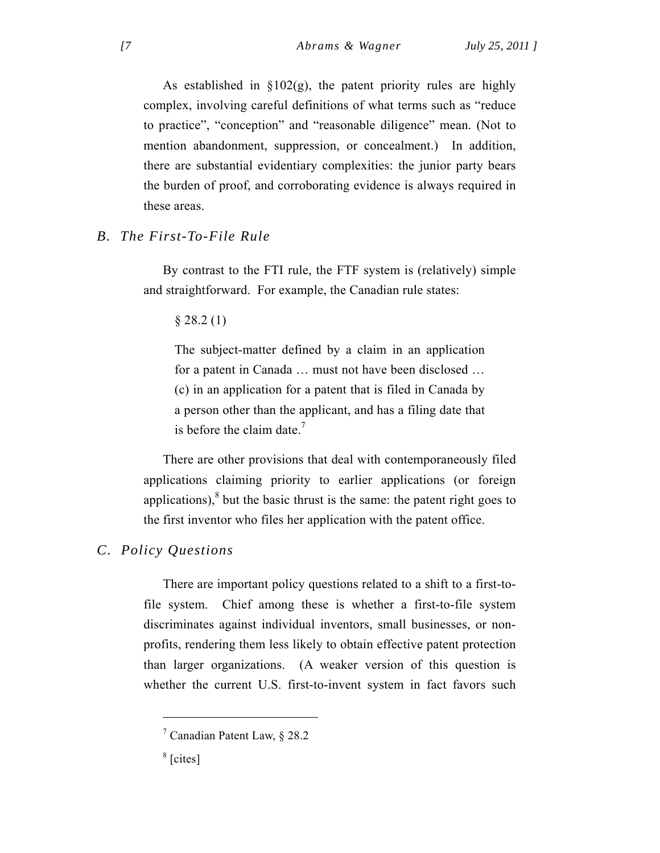As established in  $\S 102(g)$ , the patent priority rules are highly complex, involving careful definitions of what terms such as "reduce to practice", "conception" and "reasonable diligence" mean. (Not to mention abandonment, suppression, or concealment.) In addition, there are substantial evidentiary complexities: the junior party bears the burden of proof, and corroborating evidence is always required in these areas.

## *B. The First-To-File Rule*

By contrast to the FTI rule, the FTF system is (relatively) simple and straightforward. For example, the Canadian rule states:

§ 28.2 (1)

The subject-matter defined by a claim in an application for a patent in Canada … must not have been disclosed … (c) in an application for a patent that is filed in Canada by a person other than the applicant, and has a filing date that is before the claim date. $\frac{7}{2}$ 

There are other provisions that deal with contemporaneously filed applications claiming priority to earlier applications (or foreign applications), $8$  but the basic thrust is the same: the patent right goes to the first inventor who files her application with the patent office.

## *C. Policy Questions*

There are important policy questions related to a shift to a first-tofile system. Chief among these is whether a first-to-file system discriminates against individual inventors, small businesses, or nonprofits, rendering them less likely to obtain effective patent protection than larger organizations. (A weaker version of this question is whether the current U.S. first-to-invent system in fact favors such

<sup>7</sup> Canadian Patent Law, § 28.2

 $<sup>8</sup>$  [cites]</sup>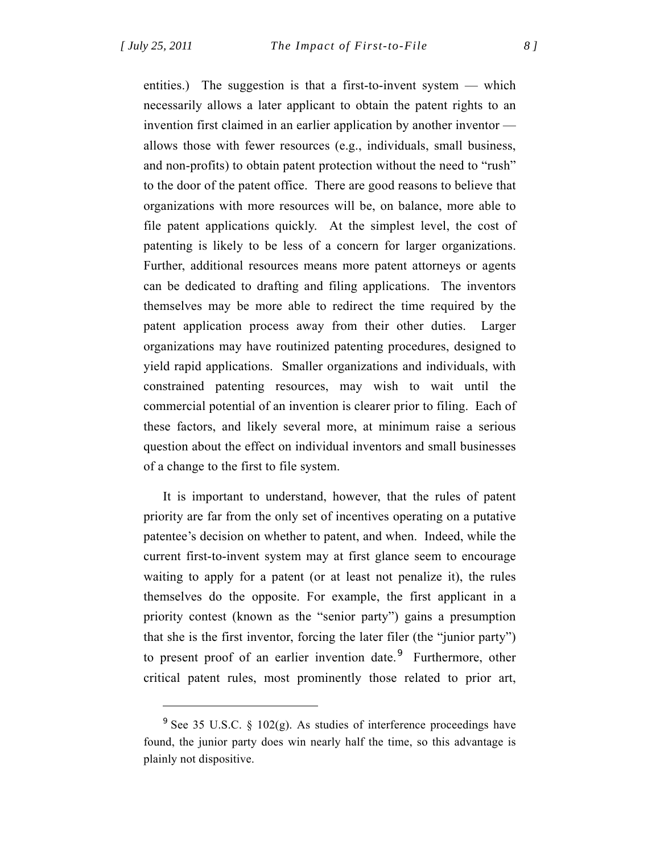$\overline{a}$ 

entities.) The suggestion is that a first-to-invent system — which necessarily allows a later applicant to obtain the patent rights to an invention first claimed in an earlier application by another inventor allows those with fewer resources (e.g., individuals, small business, and non-profits) to obtain patent protection without the need to "rush" to the door of the patent office. There are good reasons to believe that organizations with more resources will be, on balance, more able to file patent applications quickly. At the simplest level, the cost of patenting is likely to be less of a concern for larger organizations. Further, additional resources means more patent attorneys or agents can be dedicated to drafting and filing applications. The inventors themselves may be more able to redirect the time required by the patent application process away from their other duties. Larger organizations may have routinized patenting procedures, designed to yield rapid applications. Smaller organizations and individuals, with constrained patenting resources, may wish to wait until the commercial potential of an invention is clearer prior to filing. Each of these factors, and likely several more, at minimum raise a serious question about the effect on individual inventors and small businesses of a change to the first to file system.

It is important to understand, however, that the rules of patent priority are far from the only set of incentives operating on a putative patentee's decision on whether to patent, and when. Indeed, while the current first-to-invent system may at first glance seem to encourage waiting to apply for a patent (or at least not penalize it), the rules themselves do the opposite. For example, the first applicant in a priority contest (known as the "senior party") gains a presumption that she is the first inventor, forcing the later filer (the "junior party") to present proof of an earlier invention date.<sup>9</sup> Furthermore, other critical patent rules, most prominently those related to prior art,

 $9^9$  See 35 U.S.C. § 102(g). As studies of interference proceedings have found, the junior party does win nearly half the time, so this advantage is plainly not dispositive.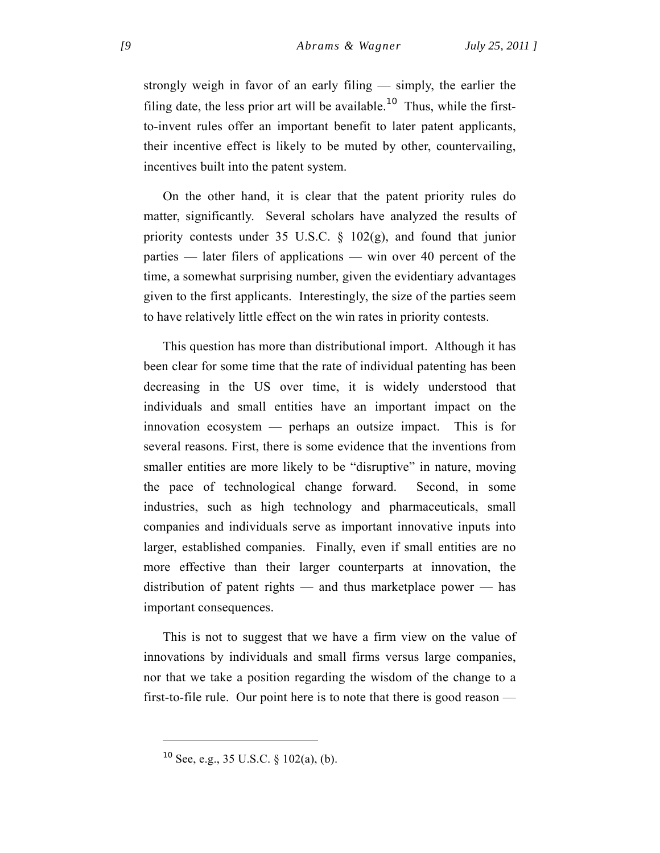strongly weigh in favor of an early filing — simply, the earlier the filing date, the less prior art will be available.<sup>10</sup> Thus, while the firstto-invent rules offer an important benefit to later patent applicants, their incentive effect is likely to be muted by other, countervailing, incentives built into the patent system.

On the other hand, it is clear that the patent priority rules do matter, significantly. Several scholars have analyzed the results of priority contests under 35 U.S.C. § 102(g), and found that junior parties — later filers of applications — win over 40 percent of the time, a somewhat surprising number, given the evidentiary advantages given to the first applicants. Interestingly, the size of the parties seem to have relatively little effect on the win rates in priority contests.

This question has more than distributional import. Although it has been clear for some time that the rate of individual patenting has been decreasing in the US over time, it is widely understood that individuals and small entities have an important impact on the innovation ecosystem — perhaps an outsize impact. This is for several reasons. First, there is some evidence that the inventions from smaller entities are more likely to be "disruptive" in nature, moving the pace of technological change forward. Second, in some industries, such as high technology and pharmaceuticals, small companies and individuals serve as important innovative inputs into larger, established companies. Finally, even if small entities are no more effective than their larger counterparts at innovation, the distribution of patent rights — and thus marketplace power — has important consequences.

This is not to suggest that we have a firm view on the value of innovations by individuals and small firms versus large companies, nor that we take a position regarding the wisdom of the change to a first-to-file rule. Our point here is to note that there is good reason —

<sup>10</sup> See, e.g., 35 U.S.C. § 102(a), (b).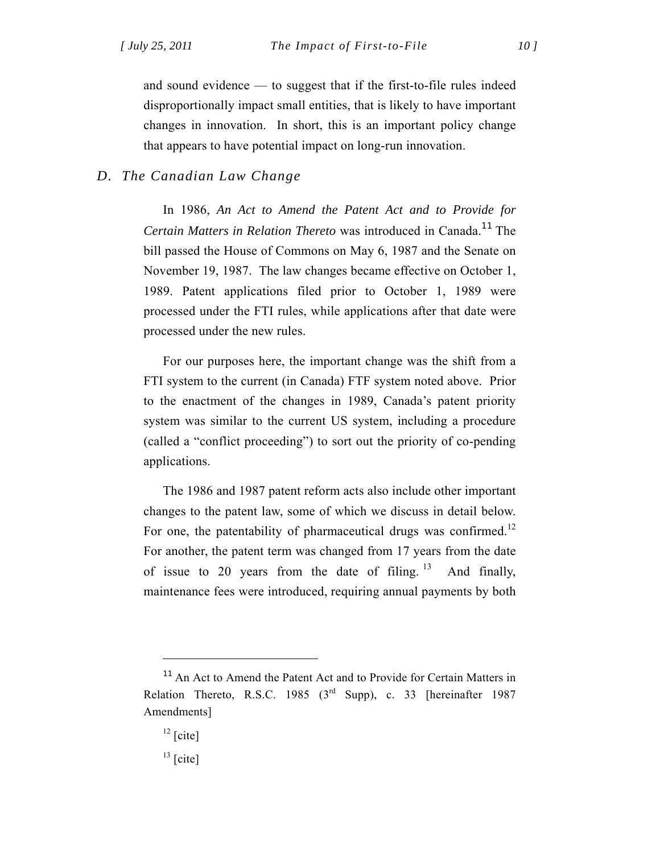and sound evidence — to suggest that if the first-to-file rules indeed disproportionally impact small entities, that is likely to have important changes in innovation. In short, this is an important policy change that appears to have potential impact on long-run innovation.

## *D. The Canadian Law Change*

In 1986, *An Act to Amend the Patent Act and to Provide for Certain Matters in Relation Thereto* was introduced in Canada.<sup>11</sup> The bill passed the House of Commons on May 6, 1987 and the Senate on November 19, 1987. The law changes became effective on October 1, 1989. Patent applications filed prior to October 1, 1989 were processed under the FTI rules, while applications after that date were processed under the new rules.

For our purposes here, the important change was the shift from a FTI system to the current (in Canada) FTF system noted above. Prior to the enactment of the changes in 1989, Canada's patent priority system was similar to the current US system, including a procedure (called a "conflict proceeding") to sort out the priority of co-pending applications.

The 1986 and 1987 patent reform acts also include other important changes to the patent law, some of which we discuss in detail below. For one, the patentability of pharmaceutical drugs was confirmed.<sup>12</sup> For another, the patent term was changed from 17 years from the date of issue to 20 years from the date of filing. <sup>13</sup> And finally, maintenance fees were introduced, requiring annual payments by both

<sup>&</sup>lt;sup>11</sup> An Act to Amend the Patent Act and to Provide for Certain Matters in Relation Thereto, R.S.C. 1985 (3<sup>rd</sup> Supp), c. 33 [hereinafter 1987 Amendments]

 $12$  [cite]

 $13$  [cite]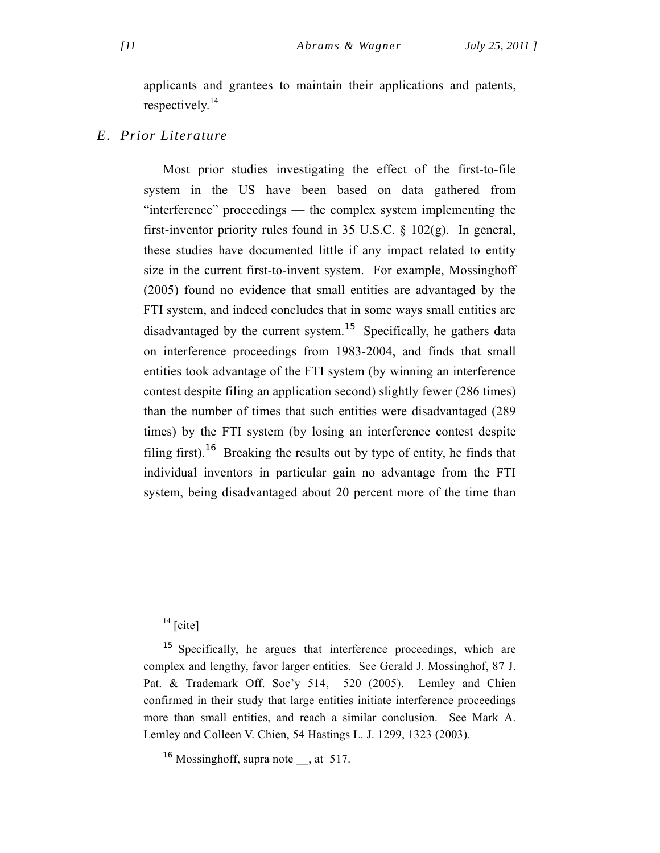applicants and grantees to maintain their applications and patents, respectively.<sup>14</sup>

## *E. Prior Literature*

Most prior studies investigating the effect of the first-to-file system in the US have been based on data gathered from "interference" proceedings — the complex system implementing the first-inventor priority rules found in 35 U.S.C. § 102(g). In general, these studies have documented little if any impact related to entity size in the current first-to-invent system. For example, Mossinghoff (2005) found no evidence that small entities are advantaged by the FTI system, and indeed concludes that in some ways small entities are disadvantaged by the current system.<sup>15</sup> Specifically, he gathers data on interference proceedings from 1983-2004, and finds that small entities took advantage of the FTI system (by winning an interference contest despite filing an application second) slightly fewer (286 times) than the number of times that such entities were disadvantaged (289 times) by the FTI system (by losing an interference contest despite filing first).<sup>16</sup> Breaking the results out by type of entity, he finds that individual inventors in particular gain no advantage from the FTI system, being disadvantaged about 20 percent more of the time than

 $14$  [cite]

<sup>&</sup>lt;sup>15</sup> Specifically, he argues that interference proceedings, which are complex and lengthy, favor larger entities. See Gerald J. Mossinghof, 87 J. Pat. & Trademark Off. Soc'y 514, 520 (2005). Lemley and Chien confirmed in their study that large entities initiate interference proceedings more than small entities, and reach a similar conclusion. See Mark A. Lemley and Colleen V. Chien, 54 Hastings L. J. 1299, 1323 (2003).

<sup>&</sup>lt;sup>16</sup> Mossinghoff, supra note , at 517.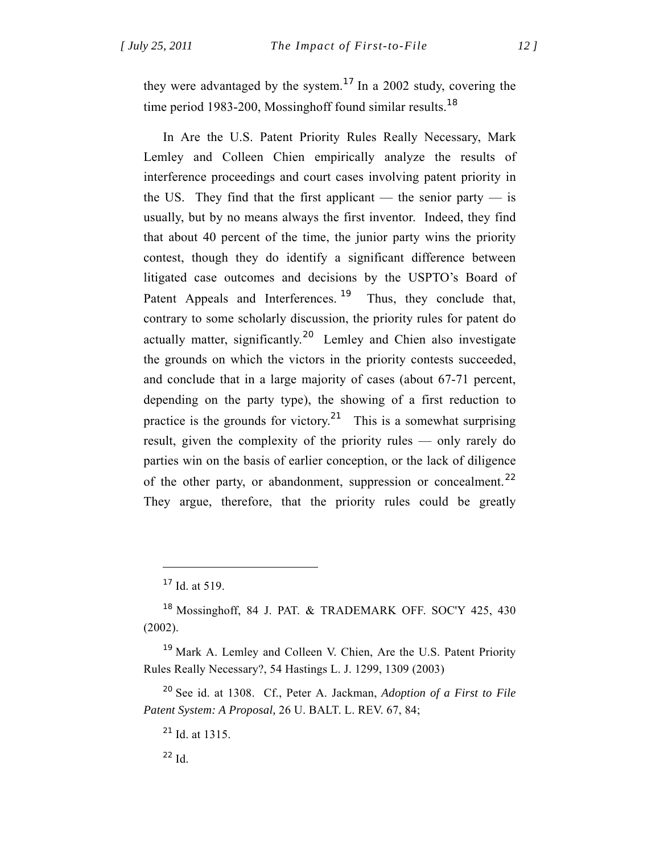they were advantaged by the system.<sup>17</sup> In a 2002 study, covering the time period 1983-200, Mossinghoff found similar results.<sup>18</sup>

In Are the U.S. Patent Priority Rules Really Necessary, Mark Lemley and Colleen Chien empirically analyze the results of interference proceedings and court cases involving patent priority in the US. They find that the first applicant — the senior party — is usually, but by no means always the first inventor. Indeed, they find that about 40 percent of the time, the junior party wins the priority contest, though they do identify a significant difference between litigated case outcomes and decisions by the USPTO's Board of Patent Appeals and Interferences.<sup>19</sup> Thus, they conclude that, contrary to some scholarly discussion, the priority rules for patent do actually matter, significantly.<sup>20</sup> Lemley and Chien also investigate the grounds on which the victors in the priority contests succeeded, and conclude that in a large majority of cases (about 67-71 percent, depending on the party type), the showing of a first reduction to practice is the grounds for victory.<sup>21</sup> This is a somewhat surprising result, given the complexity of the priority rules — only rarely do parties win on the basis of earlier conception, or the lack of diligence of the other party, or abandonment, suppression or concealment.<sup>22</sup> They argue, therefore, that the priority rules could be greatly

 $\overline{a}$ 

<sup>19</sup> Mark A. Lemley and Colleen V. Chien, Are the U.S. Patent Priority Rules Really Necessary?, 54 Hastings L. J. 1299, 1309 (2003)

<sup>20</sup> See id. at 1308. Cf., Peter A. Jackman, *Adoption of a First to File Patent System: A Proposal,* 26 U. BALT. L. REV. 67, 84;

 $^{22}$  Id.

 $17$  Id. at 519.

<sup>&</sup>lt;sup>18</sup> Mossinghoff, 84 J. PAT. & TRADEMARK OFF. SOC'Y 425, 430 (2002).

 $^{21}$  Id. at 1315.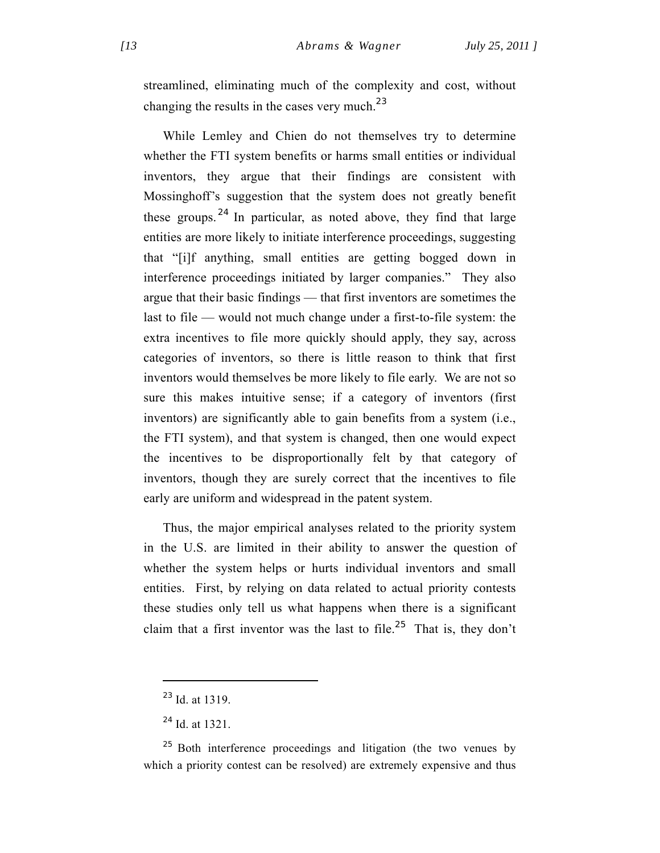streamlined, eliminating much of the complexity and cost, without changing the results in the cases very much.<sup>23</sup>

While Lemley and Chien do not themselves try to determine whether the FTI system benefits or harms small entities or individual inventors, they argue that their findings are consistent with Mossinghoff's suggestion that the system does not greatly benefit these groups.  $24$  In particular, as noted above, they find that large entities are more likely to initiate interference proceedings, suggesting that "[i]f anything, small entities are getting bogged down in interference proceedings initiated by larger companies." They also argue that their basic findings — that first inventors are sometimes the last to file — would not much change under a first-to-file system: the extra incentives to file more quickly should apply, they say, across categories of inventors, so there is little reason to think that first inventors would themselves be more likely to file early. We are not so sure this makes intuitive sense; if a category of inventors (first inventors) are significantly able to gain benefits from a system (i.e., the FTI system), and that system is changed, then one would expect the incentives to be disproportionally felt by that category of inventors, though they are surely correct that the incentives to file early are uniform and widespread in the patent system.

Thus, the major empirical analyses related to the priority system in the U.S. are limited in their ability to answer the question of whether the system helps or hurts individual inventors and small entities. First, by relying on data related to actual priority contests these studies only tell us what happens when there is a significant claim that a first inventor was the last to file.<sup>25</sup> That is, they don't

<sup>23</sup> Id. at 1319.

 $^{24}$  Id. at 1321.

 $25$  Both interference proceedings and litigation (the two venues by which a priority contest can be resolved) are extremely expensive and thus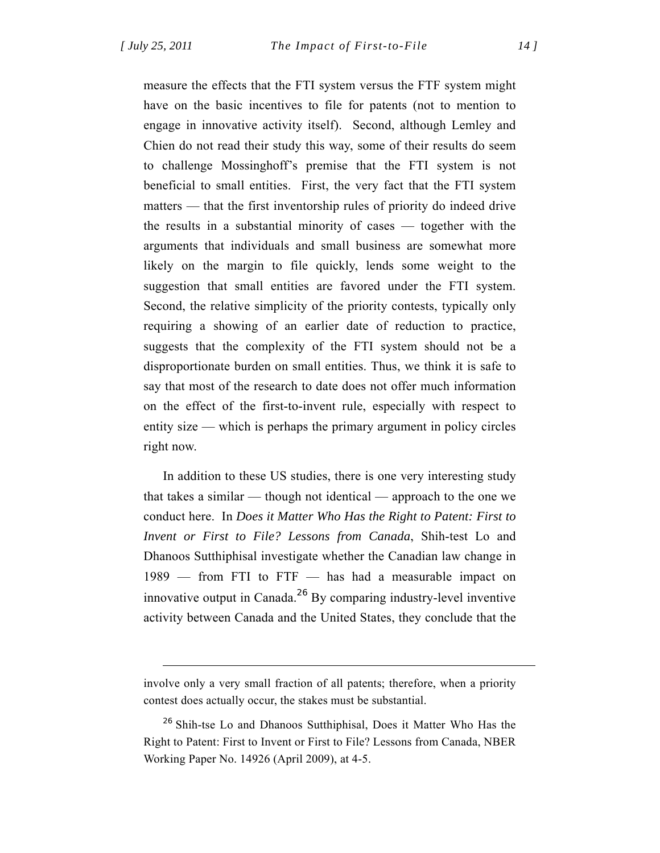$\overline{a}$ 

measure the effects that the FTI system versus the FTF system might have on the basic incentives to file for patents (not to mention to engage in innovative activity itself). Second, although Lemley and Chien do not read their study this way, some of their results do seem to challenge Mossinghoff's premise that the FTI system is not beneficial to small entities. First, the very fact that the FTI system matters — that the first inventorship rules of priority do indeed drive the results in a substantial minority of cases — together with the arguments that individuals and small business are somewhat more likely on the margin to file quickly, lends some weight to the suggestion that small entities are favored under the FTI system. Second, the relative simplicity of the priority contests, typically only requiring a showing of an earlier date of reduction to practice, suggests that the complexity of the FTI system should not be a disproportionate burden on small entities. Thus, we think it is safe to say that most of the research to date does not offer much information on the effect of the first-to-invent rule, especially with respect to entity size — which is perhaps the primary argument in policy circles right now.

In addition to these US studies, there is one very interesting study that takes a similar — though not identical — approach to the one we conduct here. In *Does it Matter Who Has the Right to Patent: First to Invent or First to File? Lessons from Canada*, Shih-test Lo and Dhanoos Sutthiphisal investigate whether the Canadian law change in 1989 — from FTI to FTF — has had a measurable impact on innovative output in Canada.<sup>26</sup> By comparing industry-level inventive activity between Canada and the United States, they conclude that the

involve only a very small fraction of all patents; therefore, when a priority contest does actually occur, the stakes must be substantial.

<sup>&</sup>lt;sup>26</sup> Shih-tse Lo and Dhanoos Sutthiphisal, Does it Matter Who Has the Right to Patent: First to Invent or First to File? Lessons from Canada, NBER Working Paper No. 14926 (April 2009), at 4-5.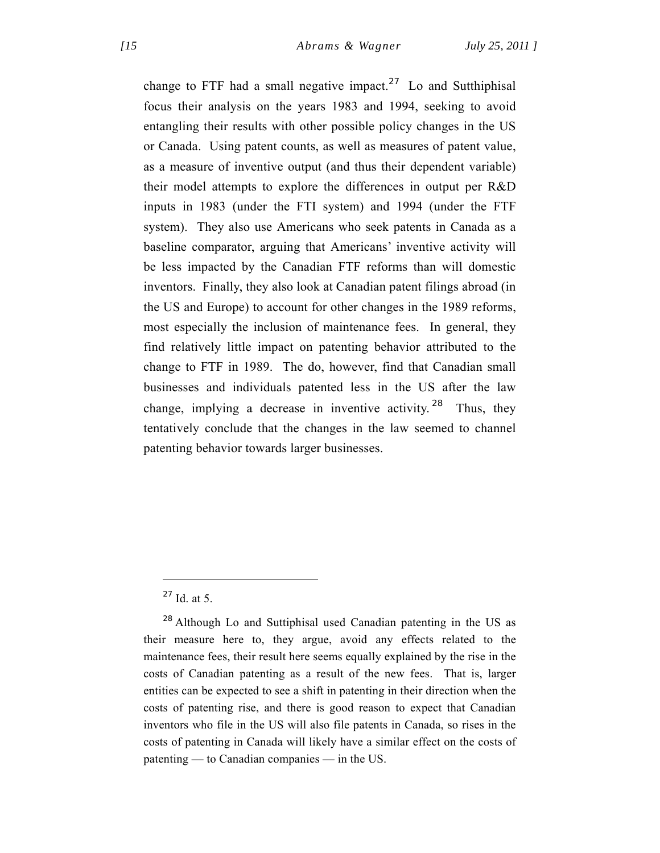change to FTF had a small negative impact.<sup>27</sup> Lo and Sutthiphisal focus their analysis on the years 1983 and 1994, seeking to avoid entangling their results with other possible policy changes in the US or Canada. Using patent counts, as well as measures of patent value, as a measure of inventive output (and thus their dependent variable) their model attempts to explore the differences in output per R&D inputs in 1983 (under the FTI system) and 1994 (under the FTF system). They also use Americans who seek patents in Canada as a baseline comparator, arguing that Americans' inventive activity will be less impacted by the Canadian FTF reforms than will domestic inventors. Finally, they also look at Canadian patent filings abroad (in the US and Europe) to account for other changes in the 1989 reforms, most especially the inclusion of maintenance fees. In general, they find relatively little impact on patenting behavior attributed to the change to FTF in 1989. The do, however, find that Canadian small businesses and individuals patented less in the US after the law change, implying a decrease in inventive activity. <sup>28</sup> Thus, they tentatively conclude that the changes in the law seemed to channel patenting behavior towards larger businesses.

 $27$  Id. at 5.

<sup>28</sup> Although Lo and Suttiphisal used Canadian patenting in the US as their measure here to, they argue, avoid any effects related to the maintenance fees, their result here seems equally explained by the rise in the costs of Canadian patenting as a result of the new fees. That is, larger entities can be expected to see a shift in patenting in their direction when the costs of patenting rise, and there is good reason to expect that Canadian inventors who file in the US will also file patents in Canada, so rises in the costs of patenting in Canada will likely have a similar effect on the costs of patenting — to Canadian companies — in the US.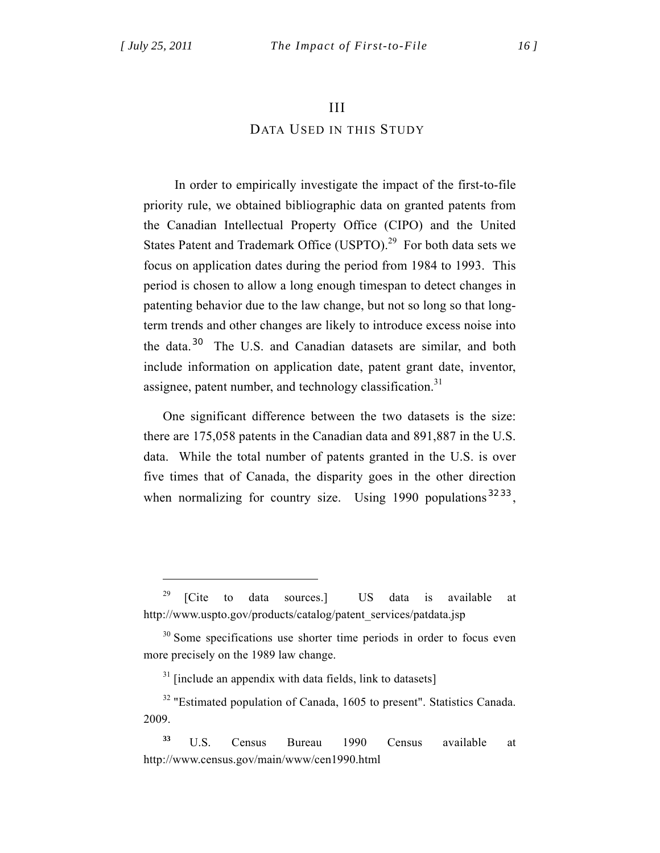$\overline{a}$ 

## III

## DATA USED IN THIS STUDY

 In order to empirically investigate the impact of the first-to-file priority rule, we obtained bibliographic data on granted patents from the Canadian Intellectual Property Office (CIPO) and the United States Patent and Trademark Office (USPTO).<sup>29</sup> For both data sets we focus on application dates during the period from 1984 to 1993. This period is chosen to allow a long enough timespan to detect changes in patenting behavior due to the law change, but not so long so that longterm trends and other changes are likely to introduce excess noise into the data.<sup>30</sup> The U.S. and Canadian datasets are similar, and both include information on application date, patent grant date, inventor, assignee, patent number, and technology classification.<sup>31</sup>

One significant difference between the two datasets is the size: there are 175,058 patents in the Canadian data and 891,887 in the U.S. data. While the total number of patents granted in the U.S. is over five times that of Canada, the disparity goes in the other direction when normalizing for country size. Using 1990 populations <sup>32 33</sup>.

 $31$  [include an appendix with data fields, link to datasets]

<sup>&</sup>lt;sup>29</sup> [Cite to data sources.] US data is available at http://www.uspto.gov/products/catalog/patent\_services/patdata.jsp

<sup>&</sup>lt;sup>30</sup> Some specifications use shorter time periods in order to focus even more precisely on the 1989 law change.

<sup>&</sup>lt;sup>32</sup> "Estimated population of Canada, 1605 to present". Statistics Canada. 2009.

**<sup>33</sup>** U.S. Census Bureau 1990 Census available at http://www.census.gov/main/www/cen1990.html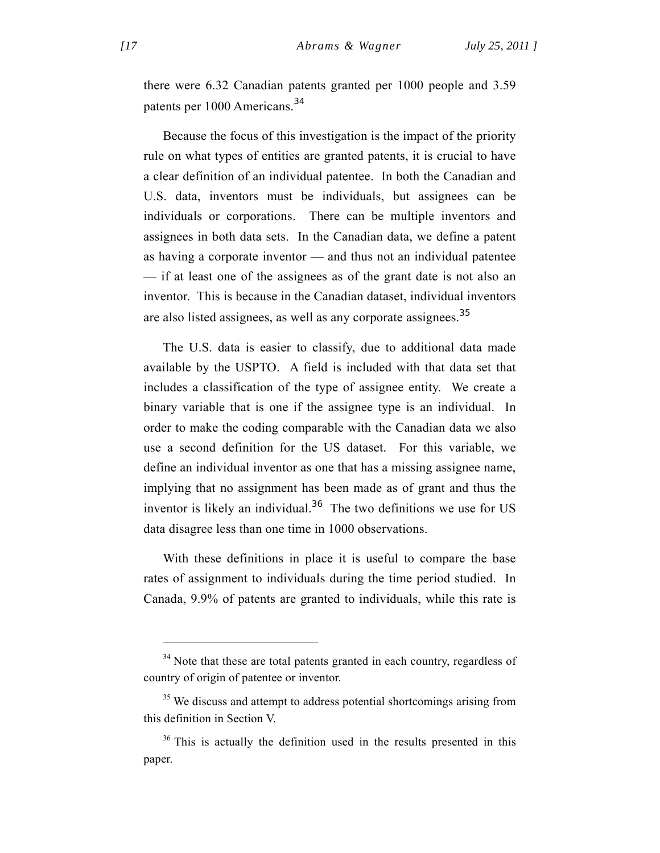there were 6.32 Canadian patents granted per 1000 people and 3.59 patents per 1000 Americans.<sup>34</sup>

Because the focus of this investigation is the impact of the priority rule on what types of entities are granted patents, it is crucial to have a clear definition of an individual patentee. In both the Canadian and U.S. data, inventors must be individuals, but assignees can be individuals or corporations. There can be multiple inventors and assignees in both data sets. In the Canadian data, we define a patent as having a corporate inventor — and thus not an individual patentee — if at least one of the assignees as of the grant date is not also an inventor. This is because in the Canadian dataset, individual inventors are also listed assignees, as well as any corporate assignees.<sup>35</sup>

The U.S. data is easier to classify, due to additional data made available by the USPTO. A field is included with that data set that includes a classification of the type of assignee entity. We create a binary variable that is one if the assignee type is an individual. In order to make the coding comparable with the Canadian data we also use a second definition for the US dataset. For this variable, we define an individual inventor as one that has a missing assignee name, implying that no assignment has been made as of grant and thus the inventor is likely an individual.<sup>36</sup> The two definitions we use for US data disagree less than one time in 1000 observations.

With these definitions in place it is useful to compare the base rates of assignment to individuals during the time period studied. In Canada, 9.9% of patents are granted to individuals, while this rate is

 $34$  Note that these are total patents granted in each country, regardless of country of origin of patentee or inventor.

<sup>&</sup>lt;sup>35</sup> We discuss and attempt to address potential shortcomings arising from this definition in Section V.

<sup>&</sup>lt;sup>36</sup> This is actually the definition used in the results presented in this paper.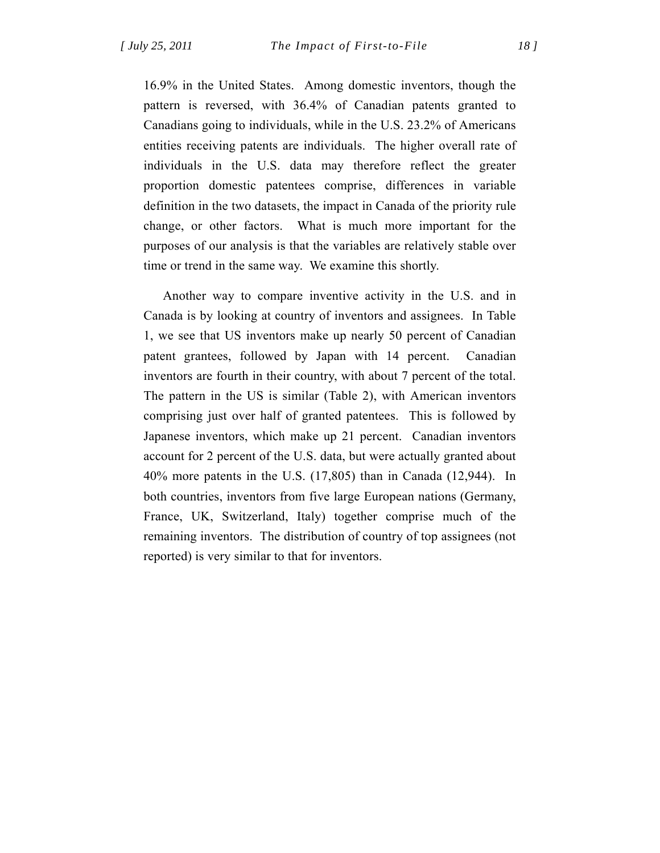16.9% in the United States. Among domestic inventors, though the pattern is reversed, with 36.4% of Canadian patents granted to Canadians going to individuals, while in the U.S. 23.2% of Americans entities receiving patents are individuals. The higher overall rate of individuals in the U.S. data may therefore reflect the greater proportion domestic patentees comprise, differences in variable definition in the two datasets, the impact in Canada of the priority rule change, or other factors. What is much more important for the purposes of our analysis is that the variables are relatively stable over time or trend in the same way. We examine this shortly.

Another way to compare inventive activity in the U.S. and in Canada is by looking at country of inventors and assignees. In Table 1, we see that US inventors make up nearly 50 percent of Canadian patent grantees, followed by Japan with 14 percent. Canadian inventors are fourth in their country, with about 7 percent of the total. The pattern in the US is similar (Table 2), with American inventors comprising just over half of granted patentees. This is followed by Japanese inventors, which make up 21 percent. Canadian inventors account for 2 percent of the U.S. data, but were actually granted about 40% more patents in the U.S. (17,805) than in Canada (12,944). In both countries, inventors from five large European nations (Germany, France, UK, Switzerland, Italy) together comprise much of the remaining inventors. The distribution of country of top assignees (not reported) is very similar to that for inventors.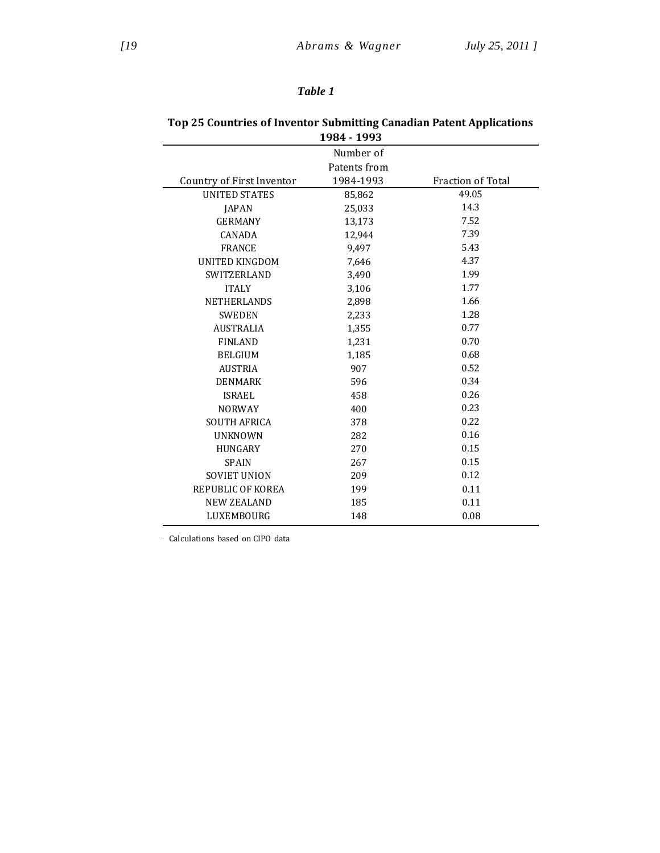## *Table 1*

| 1984 - 1993               |              |                   |  |  |
|---------------------------|--------------|-------------------|--|--|
|                           | Number of    |                   |  |  |
|                           | Patents from |                   |  |  |
| Country of First Inventor | 1984-1993    | Fraction of Total |  |  |
| <b>UNITED STATES</b>      | 85,862       | 49.05             |  |  |
| <b>JAPAN</b>              | 25,033       | 14.3              |  |  |
| <b>GERMANY</b>            | 13,173       | 7.52              |  |  |
| <b>CANADA</b>             | 12,944       | 7.39              |  |  |
| <b>FRANCE</b>             | 9,497        | 5.43              |  |  |
| UNITED KINGDOM            | 7,646        | 4.37              |  |  |
| <b>SWITZERLAND</b>        | 3,490        | 1.99              |  |  |
| <b>ITALY</b>              | 3,106        | 1.77              |  |  |
| <b>NETHERLANDS</b>        | 2,898        | 1.66              |  |  |
| <b>SWEDEN</b>             | 2,233        | 1.28              |  |  |
| <b>AUSTRALIA</b>          | 1,355        | 0.77              |  |  |
| <b>FINLAND</b>            | 1,231        | 0.70              |  |  |
| <b>BELGIUM</b>            | 1,185        | 0.68              |  |  |
| <b>AUSTRIA</b>            | 907          | 0.52              |  |  |
| <b>DENMARK</b>            | 596          | 0.34              |  |  |
| <b>ISRAEL</b>             | 458          | 0.26              |  |  |
| <b>NORWAY</b>             | 400          | 0.23              |  |  |
| <b>SOUTH AFRICA</b>       | 378          | 0.22              |  |  |
| <b>UNKNOWN</b>            | 282          | 0.16              |  |  |
| <b>HUNGARY</b>            | 270          | 0.15              |  |  |
| <b>SPAIN</b>              | 267          | 0.15              |  |  |
| <b>SOVIET UNION</b>       | 209          | 0.12              |  |  |
| REPUBLIC OF KOREA         | 199          | 0.11              |  |  |
| <b>NEW ZEALAND</b>        | 185          | 0.11              |  |  |
| LUXEMBOURG                | 148          | 0.08              |  |  |

# **Top 25 Countries of Inventor Submitting Canadian Patent Applications**

Calculations based on CIPO data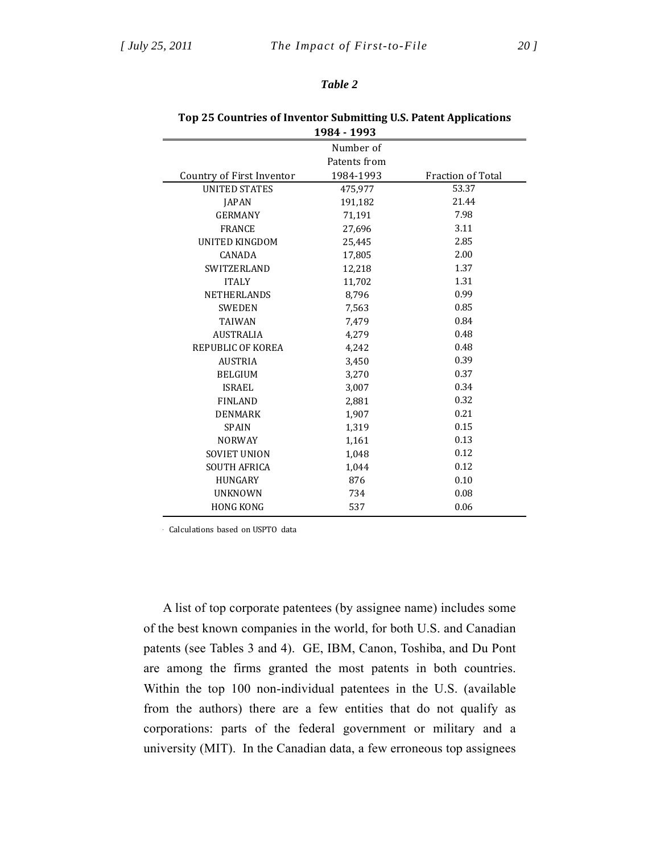#### *Table 2*

| 1984 - 1993               |           |                          |  |  |  |  |
|---------------------------|-----------|--------------------------|--|--|--|--|
|                           | Number of |                          |  |  |  |  |
| Patents from              |           |                          |  |  |  |  |
| Country of First Inventor | 1984-1993 | <b>Fraction of Total</b> |  |  |  |  |
| <b>UNITED STATES</b>      | 475,977   | 53.37                    |  |  |  |  |
| <b>JAPAN</b>              | 191,182   | 21.44                    |  |  |  |  |
| <b>GERMANY</b>            | 71,191    | 7.98                     |  |  |  |  |
| <b>FRANCE</b>             | 27,696    | 3.11                     |  |  |  |  |
| <b>UNITED KINGDOM</b>     | 25,445    | 2.85                     |  |  |  |  |
| <b>CANADA</b>             | 17,805    | 2.00                     |  |  |  |  |
| <b>SWITZERLAND</b>        | 12,218    | 1.37                     |  |  |  |  |
| <b>ITALY</b>              | 11,702    | 1.31                     |  |  |  |  |
| <b>NETHERLANDS</b>        | 8,796     | 0.99                     |  |  |  |  |
| <b>SWEDEN</b>             | 7,563     | 0.85                     |  |  |  |  |
| <b>TAIWAN</b>             | 7,479     | 0.84                     |  |  |  |  |
| <b>AUSTRALIA</b>          | 4,279     | 0.48                     |  |  |  |  |
| REPUBLIC OF KOREA         | 4,242     | 0.48                     |  |  |  |  |
| <b>AUSTRIA</b>            | 3,450     | 0.39                     |  |  |  |  |
| <b>BELGIUM</b>            | 3,270     | 0.37                     |  |  |  |  |
| <b>ISRAEL</b>             | 3,007     | 0.34                     |  |  |  |  |
| <b>FINLAND</b>            | 2,881     | 0.32                     |  |  |  |  |
| <b>DENMARK</b>            | 1,907     | 0.21                     |  |  |  |  |
| <b>SPAIN</b>              | 1,319     | 0.15                     |  |  |  |  |
| <b>NORWAY</b>             | 1,161     | 0.13                     |  |  |  |  |
| <b>SOVIET UNION</b>       | 1,048     | 0.12                     |  |  |  |  |
| <b>SOUTH AFRICA</b>       | 1,044     | 0.12                     |  |  |  |  |
| <b>HUNGARY</b>            | 876       | 0.10                     |  |  |  |  |
| <b>UNKNOWN</b>            | 734       | 0.08                     |  |  |  |  |
| <b>HONG KONG</b>          | 537       | 0.06                     |  |  |  |  |
|                           |           |                          |  |  |  |  |

#### **Top 25 Countries of Inventor Submitting U.S. Patent Applications 1984 ‐ 1993**

Calculations based on USPTO data

A list of top corporate patentees (by assignee name) includes some of the best known companies in the world, for both U.S. and Canadian patents (see Tables 3 and 4). GE, IBM, Canon, Toshiba, and Du Pont are among the firms granted the most patents in both countries. Within the top 100 non-individual patentees in the U.S. (available from the authors) there are a few entities that do not qualify as corporations: parts of the federal government or military and a university (MIT). In the Canadian data, a few erroneous top assignees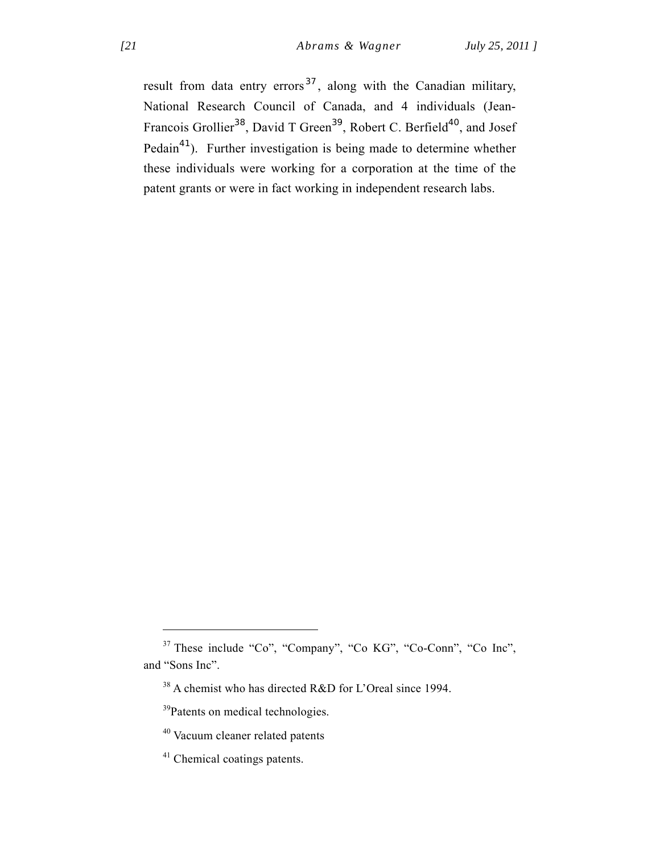result from data entry errors<sup>37</sup>, along with the Canadian military, National Research Council of Canada, and 4 individuals (Jean-Francois Grollier<sup>38</sup>, David T Green<sup>39</sup>, Robert C. Berfield<sup>40</sup>, and Josef Pedain<sup>41</sup>). Further investigation is being made to determine whether these individuals were working for a corporation at the time of the patent grants or were in fact working in independent research labs.

<sup>37</sup> These include "Co", "Company", "Co KG", "Co-Conn", "Co Inc", and "Sons Inc".

<sup>38</sup> A chemist who has directed R&D for L'Oreal since 1994.

<sup>&</sup>lt;sup>39</sup>Patents on medical technologies.

<sup>40</sup> Vacuum cleaner related patents

<sup>&</sup>lt;sup>41</sup> Chemical coatings patents.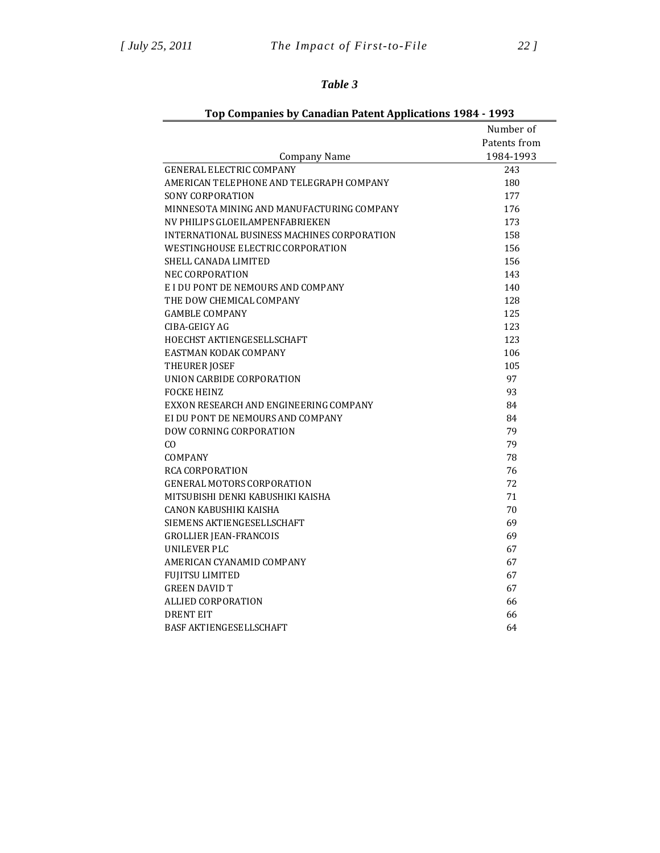## *Table 3*

|                                             | Number of    |
|---------------------------------------------|--------------|
|                                             | Patents from |
| Company Name                                | 1984-1993    |
| GENERAL ELECTRIC COMPANY                    | 243          |
| AMERICAN TELEPHONE AND TELEGRAPH COMPANY    | 180          |
| SONY CORPORATION                            | 177          |
| MINNESOTA MINING AND MANUFACTURING COMPANY  | 176          |
| NV PHILIPS GLOEILAMPENFABRIEKEN             | 173          |
| INTERNATIONAL BUSINESS MACHINES CORPORATION | 158          |
| WESTINGHOUSE ELECTRIC CORPORATION           | 156          |
| SHELL CANADA LIMITED                        | 156          |
| NEC CORPORATION                             | 143          |
| E I DU PONT DE NEMOURS AND COMPANY          | 140          |
| THE DOW CHEMICAL COMPANY                    | 128          |
| <b>GAMBLE COMPANY</b>                       | 125          |
| CIBA-GEIGY AG                               | 123          |
| HOECHST AKTIENGESELLSCHAFT                  | 123          |
| EASTMAN KODAK COMPANY                       | 106          |
| THEURER JOSEF                               | 105          |
| UNION CARBIDE CORPORATION                   | 97           |
| <b>FOCKE HEINZ</b>                          | 93           |
| EXXON RESEARCH AND ENGINEERING COMPANY      | 84           |
| EI DU PONT DE NEMOURS AND COMPANY           | 84           |
| <b>DOW CORNING CORPORATION</b>              | 79           |
| CO.                                         | 79           |
| COMPANY                                     | 78           |
| RCA CORPORATION                             | 76           |
| <b>GENERAL MOTORS CORPORATION</b>           | 72           |
| MITSUBISHI DENKI KABUSHIKI KAISHA           | 71           |
| CANON KABUSHIKI KAISHA                      | 70           |
| SIEMENS AKTIENGESELLSCHAFT                  | 69           |
| <b>GROLLIER JEAN-FRANCOIS</b>               | 69           |
| UNILEVER PLC                                | 67           |
| AMERICAN CYANAMID COMPANY                   | 67           |
| <b>FUJITSU LIMITED</b>                      | 67           |
| <b>GREEN DAVID T</b>                        | 67           |
| ALLIED CORPORATION                          | 66           |
| <b>DRENT EIT</b>                            | 66           |
| BASF AKTIENGESELLSCHAFT                     | 64           |

## **Top Companies by Canadian Patent Applications 1984 ‐ 1993**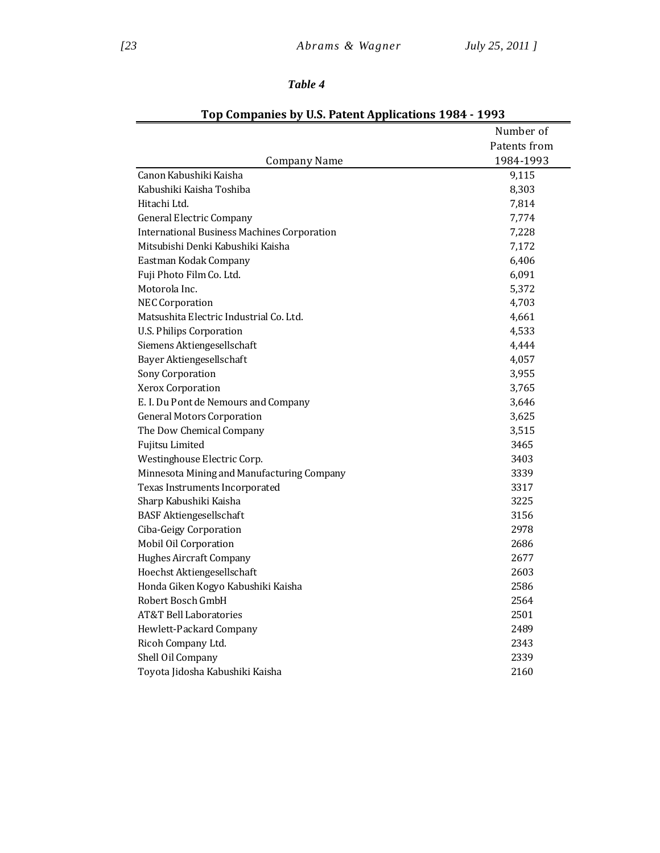## *Table 4*

|                                                    | Number of    |
|----------------------------------------------------|--------------|
|                                                    | Patents from |
| <b>Company Name</b>                                | 1984-1993    |
| Canon Kabushiki Kaisha                             | 9,115        |
| Kabushiki Kaisha Toshiba                           | 8,303        |
| Hitachi Ltd.                                       | 7,814        |
| <b>General Electric Company</b>                    | 7,774        |
| <b>International Business Machines Corporation</b> | 7,228        |
| Mitsubishi Denki Kabushiki Kaisha                  | 7,172        |
| Eastman Kodak Company                              | 6,406        |
| Fuji Photo Film Co. Ltd.                           | 6,091        |
| Motorola Inc.                                      | 5,372        |
| <b>NEC Corporation</b>                             | 4,703        |
| Matsushita Electric Industrial Co. Ltd.            | 4,661        |
| <b>U.S. Philips Corporation</b>                    | 4,533        |
| Siemens Aktiengesellschaft                         | 4,444        |
| Bayer Aktiengesellschaft                           | 4,057        |
| Sony Corporation                                   | 3,955        |
| Xerox Corporation                                  | 3,765        |
| E. I. Du Pont de Nemours and Company               | 3,646        |
| <b>General Motors Corporation</b>                  | 3,625        |
| The Dow Chemical Company                           | 3,515        |
| Fujitsu Limited                                    | 3465         |
| Westinghouse Electric Corp.                        | 3403         |
| Minnesota Mining and Manufacturing Company         | 3339         |
| Texas Instruments Incorporated                     | 3317         |
| Sharp Kabushiki Kaisha                             | 3225         |
| <b>BASF Aktiengesellschaft</b>                     | 3156         |
| Ciba-Geigy Corporation                             | 2978         |
| Mobil Oil Corporation                              | 2686         |
| <b>Hughes Aircraft Company</b>                     | 2677         |
| Hoechst Aktiengesellschaft                         | 2603         |
| Honda Giken Kogyo Kabushiki Kaisha                 | 2586         |
| Robert Bosch GmbH                                  | 2564         |
| <b>AT&amp;T Bell Laboratories</b>                  | 2501         |
| Hewlett-Packard Company                            | 2489         |
| Ricoh Company Ltd.                                 | 2343         |
| Shell Oil Company                                  | 2339         |
| Toyota Jidosha Kabushiki Kaisha                    | 2160         |

## **Top Companies by U.S. Patent Applications 1984 ‐ 1993**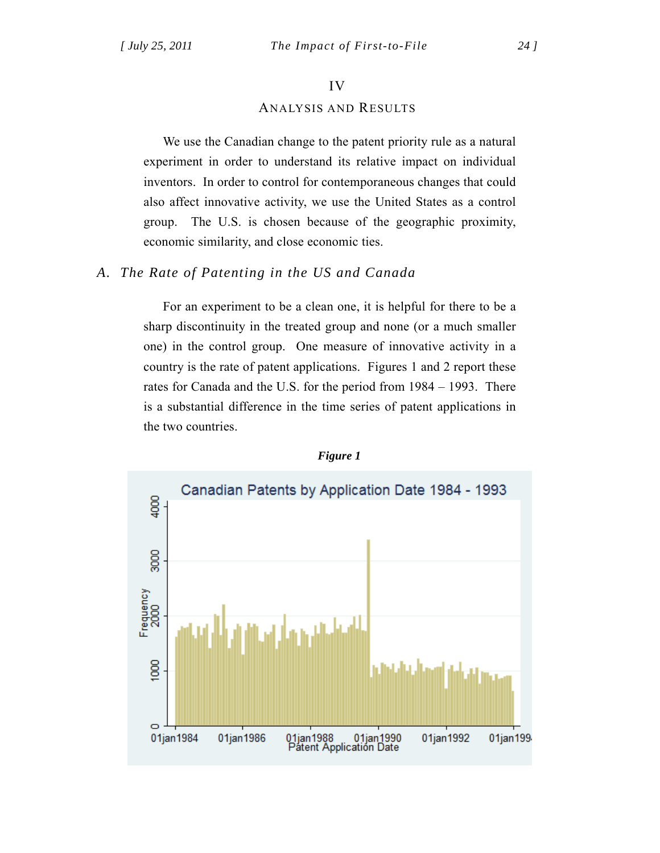#### IV

## ANALYSIS AND RESULTS

We use the Canadian change to the patent priority rule as a natural experiment in order to understand its relative impact on individual inventors. In order to control for contemporaneous changes that could also affect innovative activity, we use the United States as a control group. The U.S. is chosen because of the geographic proximity, economic similarity, and close economic ties.

## *A. The Rate of Patenting in the US and Canada*

For an experiment to be a clean one, it is helpful for there to be a sharp discontinuity in the treated group and none (or a much smaller one) in the control group. One measure of innovative activity in a country is the rate of patent applications. Figures 1 and 2 report these rates for Canada and the U.S. for the period from 1984 – 1993. There is a substantial difference in the time series of patent applications in the two countries.



#### *Figure 1*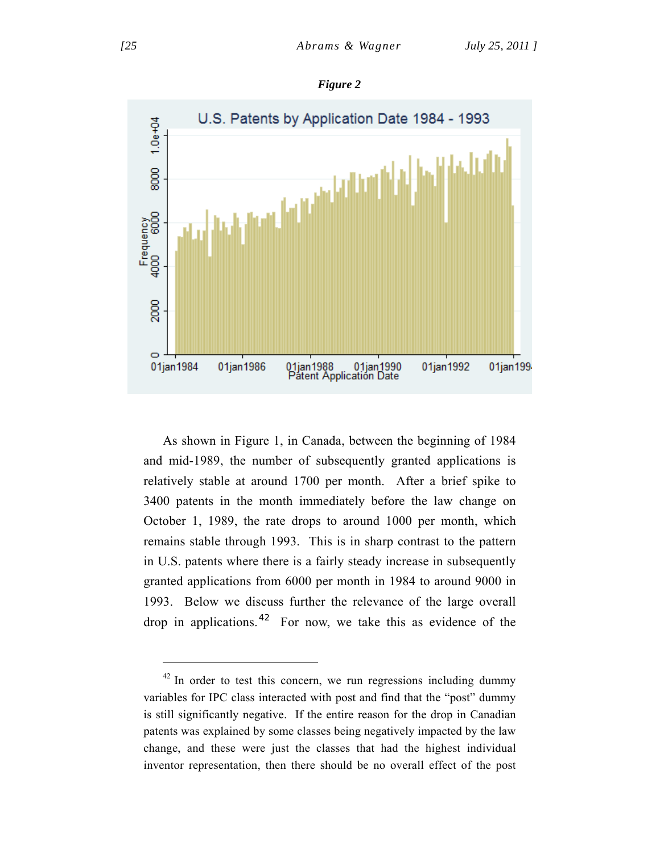

As shown in Figure 1, in Canada, between the beginning of 1984 and mid-1989, the number of subsequently granted applications is relatively stable at around 1700 per month. After a brief spike to 3400 patents in the month immediately before the law change on October 1, 1989, the rate drops to around 1000 per month, which remains stable through 1993. This is in sharp contrast to the pattern in U.S. patents where there is a fairly steady increase in subsequently granted applications from 6000 per month in 1984 to around 9000 in 1993. Below we discuss further the relevance of the large overall drop in applications.<sup>42</sup> For now, we take this as evidence of the

*Figure 2* 

 $42$  In order to test this concern, we run regressions including dummy variables for IPC class interacted with post and find that the "post" dummy is still significantly negative. If the entire reason for the drop in Canadian patents was explained by some classes being negatively impacted by the law change, and these were just the classes that had the highest individual inventor representation, then there should be no overall effect of the post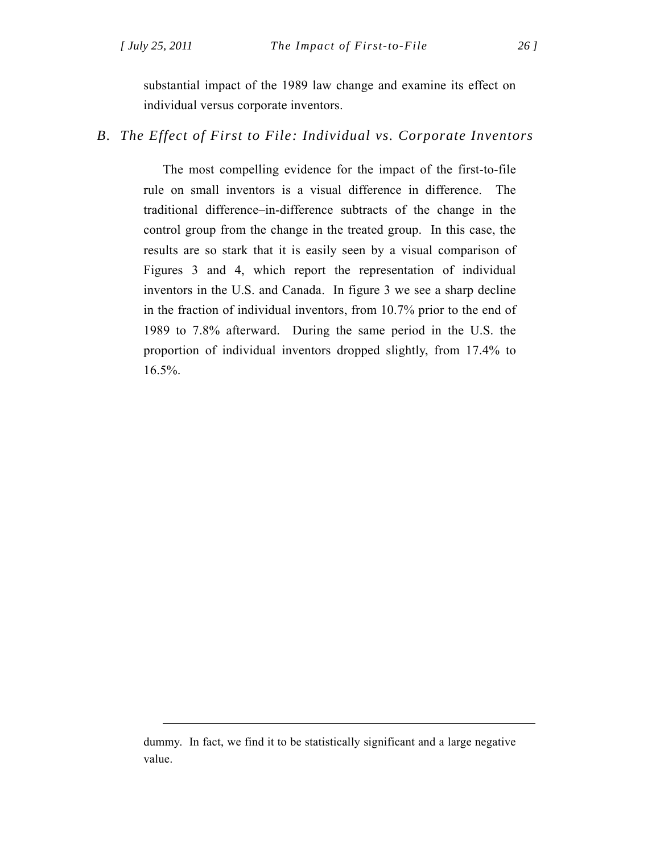$\overline{a}$ 

substantial impact of the 1989 law change and examine its effect on individual versus corporate inventors.

*B. The Effect of First to File: Individual vs. Corporate Inventors* 

The most compelling evidence for the impact of the first-to-file rule on small inventors is a visual difference in difference. The traditional difference–in-difference subtracts of the change in the control group from the change in the treated group. In this case, the results are so stark that it is easily seen by a visual comparison of Figures 3 and 4, which report the representation of individual inventors in the U.S. and Canada. In figure 3 we see a sharp decline in the fraction of individual inventors, from 10.7% prior to the end of 1989 to 7.8% afterward. During the same period in the U.S. the proportion of individual inventors dropped slightly, from 17.4% to 16.5%.

dummy. In fact, we find it to be statistically significant and a large negative value.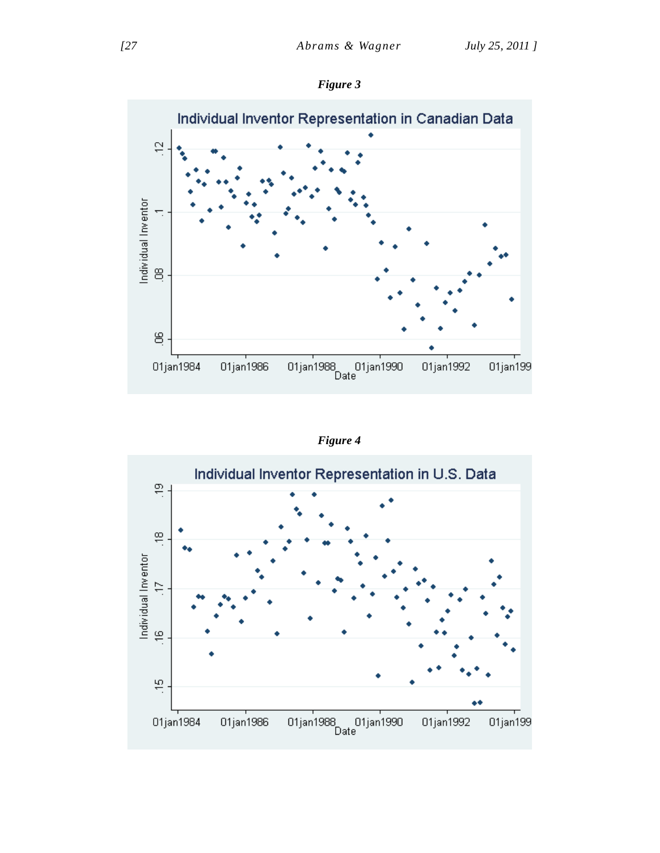



*Figure 4* 

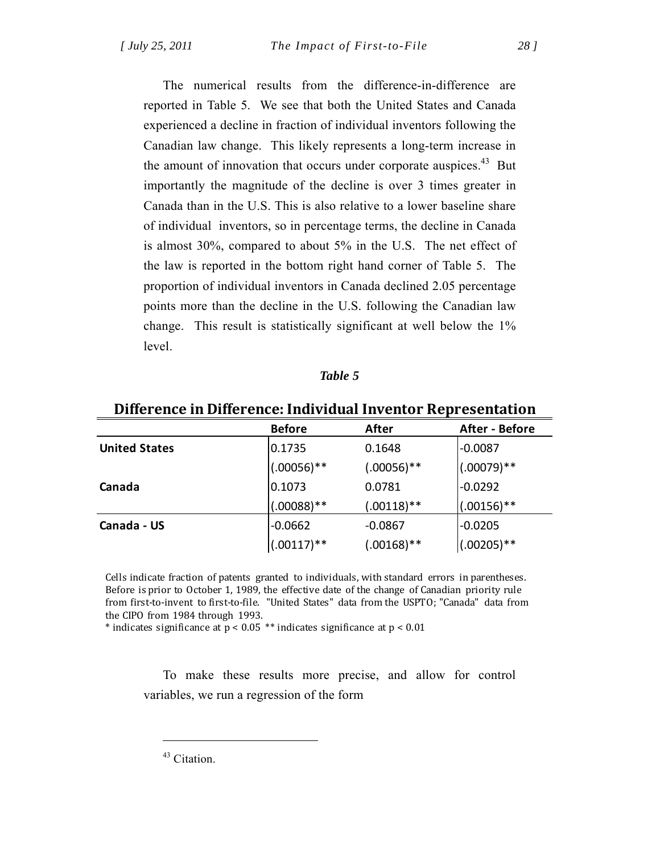The numerical results from the difference-in-difference are reported in Table 5. We see that both the United States and Canada experienced a decline in fraction of individual inventors following the Canadian law change. This likely represents a long-term increase in the amount of innovation that occurs under corporate auspices.<sup>43</sup> But importantly the magnitude of the decline is over 3 times greater in Canada than in the U.S. This is also relative to a lower baseline share of individual inventors, so in percentage terms, the decline in Canada is almost 30%, compared to about 5% in the U.S. The net effect of the law is reported in the bottom right hand corner of Table 5. The proportion of individual inventors in Canada declined 2.05 percentage points more than the decline in the U.S. following the Canadian law change. This result is statistically significant at well below the 1% level.

#### *Table 5*

| Difference in Difference: Individual Inventor Representation |                |               |                |  |
|--------------------------------------------------------------|----------------|---------------|----------------|--|
|                                                              | <b>Before</b>  | After         | After - Before |  |
| <b>United States</b>                                         | 0.1735         | 0.1648        | $-0.0087$      |  |
|                                                              | $(.00056)$ **  | $(.00056)$ ** | $!(.00079)**$  |  |
| Canada                                                       | 0.1073         | 0.0781        | $-0.0292$      |  |
|                                                              | $(.00088)$ **  | $(.00118)**$  | $(.00156)$ **  |  |
| Canada - US                                                  | $-0.0662$      | $-0.0867$     | $-0.0205$      |  |
|                                                              | $(0.00117)$ ** | $(.00168)$ ** | $(0.00205)**$  |  |

Cells indicate fraction of patents granted to individuals, with standard errors in parentheses. Before is prior to October 1, 1989, the effective date of the change of Canadian priority rule from first-to-invent to first-to-file. "United States" data from the USPTO; "Canada" data from the CIPO from 1984 through 1993.

\* indicates significance at  $p < 0.05$  \*\* indicates significance at  $p < 0.01$ 

To make these results more precise, and allow for control variables, we run a regression of the form

<sup>43</sup> Citation.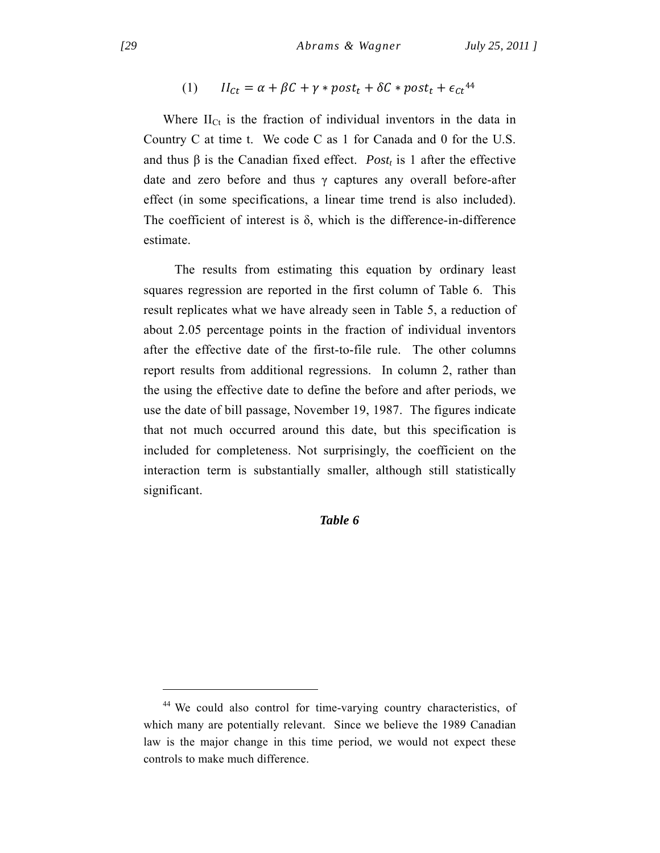$$
(1) \qquad II_{ct} = \alpha + \beta C + \gamma * post_t + \delta C * post_t + \epsilon_{ct}^{44}
$$

Where  $II_{Ct}$  is the fraction of individual inventors in the data in Country C at time t. We code C as 1 for Canada and 0 for the U.S. and thus  $\beta$  is the Canadian fixed effect. *Post<sub>t</sub>* is 1 after the effective date and zero before and thus γ captures any overall before-after effect (in some specifications, a linear time trend is also included). The coefficient of interest is  $\delta$ , which is the difference-in-difference estimate.

 The results from estimating this equation by ordinary least squares regression are reported in the first column of Table 6. This result replicates what we have already seen in Table 5, a reduction of about 2.05 percentage points in the fraction of individual inventors after the effective date of the first-to-file rule. The other columns report results from additional regressions. In column 2, rather than the using the effective date to define the before and after periods, we use the date of bill passage, November 19, 1987. The figures indicate that not much occurred around this date, but this specification is included for completeness. Not surprisingly, the coefficient on the interaction term is substantially smaller, although still statistically significant.

#### *Table 6*

<sup>44</sup> We could also control for time-varying country characteristics, of which many are potentially relevant. Since we believe the 1989 Canadian law is the major change in this time period, we would not expect these controls to make much difference.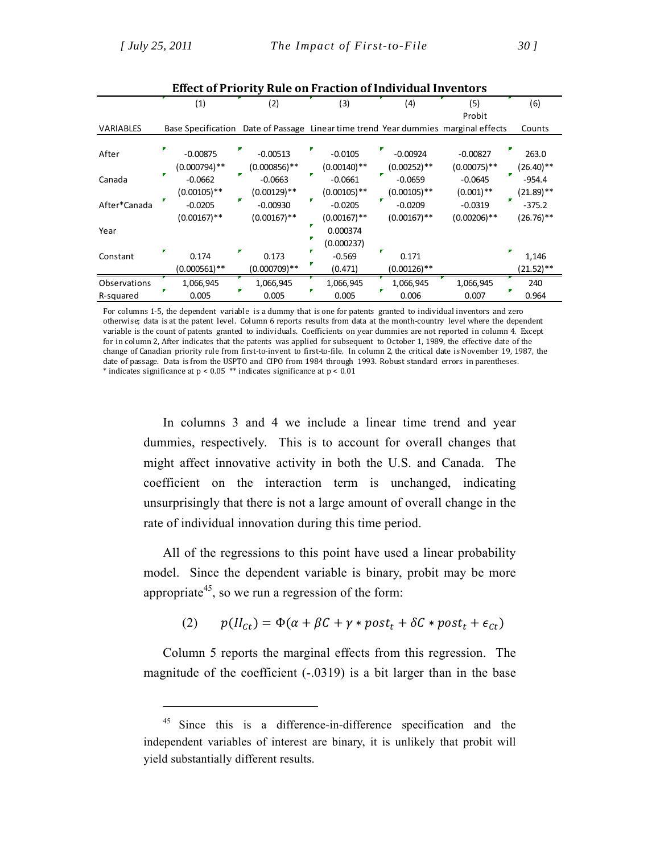$\overline{a}$ 

|              |  | (1)             | (2)             |  | (3)            | (4)            | (5)                                                                                | (6)          |
|--------------|--|-----------------|-----------------|--|----------------|----------------|------------------------------------------------------------------------------------|--------------|
|              |  |                 |                 |  |                |                | Probit                                                                             |              |
| VARIABLES    |  |                 |                 |  |                |                | Base Specification Date of Passage Linear time trend Year dummies marginal effects | Counts       |
|              |  |                 |                 |  |                |                |                                                                                    |              |
| After        |  | $-0.00875$      | $-0.00513$      |  | $-0.0105$      | $-0.00924$     | $-0.00827$                                                                         | 263.0        |
|              |  | $(0.000794)$ ** | $(0.000856)$ ** |  | $(0.00140)$ ** | $(0.00252)$ ** | $(0.00075)$ **                                                                     | (26.40)**    |
| Canada       |  | $-0.0662$       | $-0.0663$       |  | $-0.0661$      | $-0.0659$      | $-0.0645$                                                                          | $-954.4$     |
|              |  | $(0.00105)$ **  | $(0.00129)$ **  |  | $(0.00105)$ ** | $(0.00105)$ ** | $(0.001)$ **                                                                       | $(21.89)$ ** |
| After*Canada |  | $-0.0205$       | $-0.00930$      |  | $-0.0205$      | $-0.0209$      | $-0.0319$                                                                          | $-375.2$     |
|              |  | $(0.00167)$ **  | $(0.00167)$ **  |  | $(0.00167)$ ** | $(0.00167)$ ** | $(0.00206)$ **                                                                     | $(26.76)$ ** |
| Year         |  |                 |                 |  | 0.000374       |                |                                                                                    |              |
|              |  |                 |                 |  | (0.000237)     |                |                                                                                    |              |
| Constant     |  | 0.174           | 0.173           |  | $-0.569$       | 0.171          |                                                                                    | 1,146        |
|              |  | $(0.000561)$ ** | $(0.000709)$ ** |  | (0.471)        | $(0.00126)$ ** |                                                                                    | $(21.52)$ ** |
| Observations |  | 1,066,945       | 1,066,945       |  | 1,066,945      | 1,066,945      | 1,066,945                                                                          | 240          |
| R-squared    |  | 0.005           | 0.005           |  | 0.005          | 0.006          | 0.007                                                                              | 0.964        |

**Effect of Priority Rule on Fraction of Individual Inventors**

For columns 1-5, the dependent variable is a dummy that is one for patents granted to individual inventors and zero otherwise; data is at the patent level. Column 6 reports results from data at the month-country level where the dependent variable is the count of patents granted to individuals. Coefficients on year dummies are not reported in column 4. Except for in column 2, After indicates that the patents was applied for subsequent to October 1, 1989, the effective date of the change of Canadian priority rule from first-to-invent to first-to-file. In column 2, the critical date is November 19, 1987, the date of passage. Data is from the USPTO and CIPO from 1984 through 1993. Robust standard errors in parentheses. \* indicates significance at  $p < 0.05$  \*\* indicates significance at  $p < 0.01$ 

In columns 3 and 4 we include a linear time trend and year dummies, respectively. This is to account for overall changes that might affect innovative activity in both the U.S. and Canada. The coefficient on the interaction term is unchanged, indicating unsurprisingly that there is not a large amount of overall change in the rate of individual innovation during this time period.

All of the regressions to this point have used a linear probability model. Since the dependent variable is binary, probit may be more appropriate<sup>45</sup>, so we run a regression of the form:

$$
(2) \qquad p(II_{Ct}) = \Phi(\alpha + \beta C + \gamma * post_t + \delta C * post_t + \epsilon_{Ct})
$$

Column 5 reports the marginal effects from this regression. The magnitude of the coefficient (-.0319) is a bit larger than in the base

<sup>&</sup>lt;sup>45</sup> Since this is a difference-in-difference specification and the independent variables of interest are binary, it is unlikely that probit will yield substantially different results.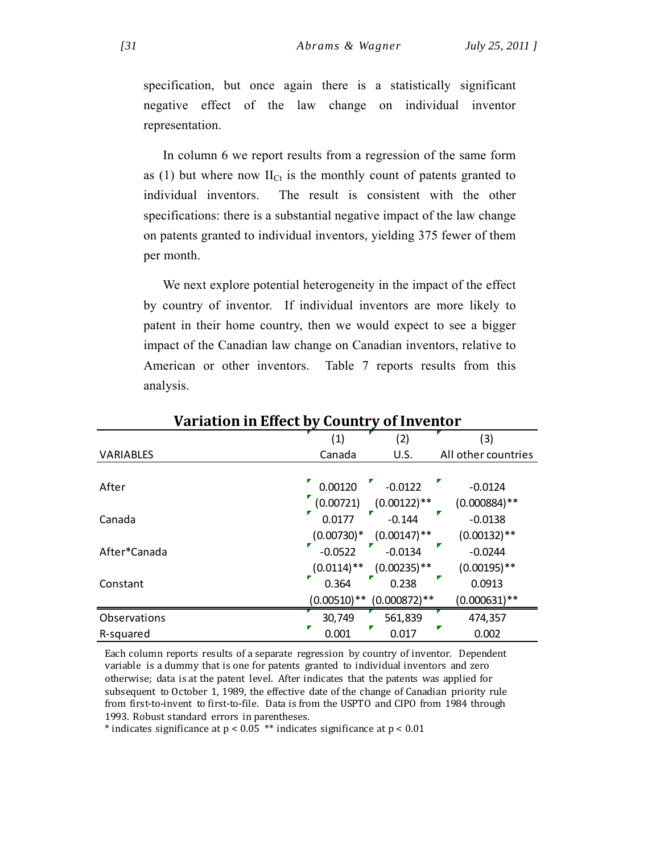specification, but once again there is a statistically significant negative effect of the law change on individual inventor representation.

In column 6 we report results from a regression of the same form as (1) but where now  $II_{Ct}$  is the monthly count of patents granted to individual inventors. The result is consistent with the other specifications: there is a substantial negative impact of the law change on patents granted to individual inventors, yielding 375 fewer of them per month.

We next explore potential heterogeneity in the impact of the effect by country of inventor. If individual inventors are more likely to patent in their home country, then we would expect to see a bigger impact of the Canadian law change on Canadian inventors, relative to American or other inventors. Table 7 reports results from this analysis.

|                  | (1)           | (2)             | (3)                 |
|------------------|---------------|-----------------|---------------------|
| <b>VARIABLES</b> | Canada        | U.S.            | All other countries |
|                  |               |                 |                     |
| After            | 0.00120       | $-0.0122$       | $-0.0124$           |
|                  | (0.00721)     | $(0.00122)$ **  | $(0.000884)$ **     |
| Canada           | 0.0177        | $-0.144$        | $-0.0138$           |
|                  | $(0.00730)*$  | $(0.00147)$ **  | $(0.00132)$ **      |
| After*Canada     | $-0.0522$     | $-0.0134$       | $-0.0244$           |
|                  | $(0.0114)$ ** | $(0.00235)$ **  | $(0.00195)$ **      |
| Constant         | 0.364         | 0.238           | 0.0913              |
|                  | $(0.00510)**$ | $(0.000872)$ ** | $(0.000631)$ **     |
| Observations     | 30,749        | 561,839         | 474,357             |
| R-squared        | 0.001         | Γ<br>0.017      | 0.002               |

## **Variation in Effect by Country of Inventor**

Each column reports results of a separate regression by country of inventor. Dependent variable is a dummy that is one for patents granted to individual inventors and zero otherwise; data is at the patent level. After indicates that the patents was applied for subsequent to October 1, 1989, the effective date of the change of Canadian priority rule from first-to-invent to first-to-file. Data is from the USPTO and CIPO from 1984 through 1993. Robust standard errors in parentheses.

\* indicates significance at  $p < 0.05$  \*\* indicates significance at  $p < 0.01$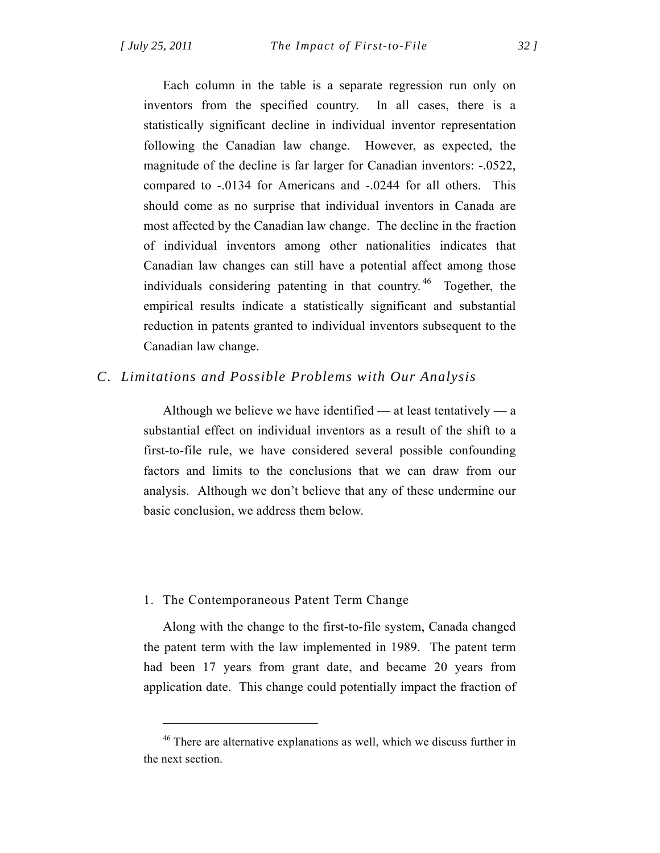Each column in the table is a separate regression run only on inventors from the specified country. In all cases, there is a statistically significant decline in individual inventor representation following the Canadian law change. However, as expected, the magnitude of the decline is far larger for Canadian inventors: -.0522, compared to -.0134 for Americans and -.0244 for all others. This should come as no surprise that individual inventors in Canada are most affected by the Canadian law change. The decline in the fraction of individual inventors among other nationalities indicates that Canadian law changes can still have a potential affect among those individuals considering patenting in that country. <sup>46</sup> Together, the empirical results indicate a statistically significant and substantial reduction in patents granted to individual inventors subsequent to the Canadian law change.

## *C. Limitations and Possible Problems with Our Analysis*

Although we believe we have identified — at least tentatively — a substantial effect on individual inventors as a result of the shift to a first-to-file rule, we have considered several possible confounding factors and limits to the conclusions that we can draw from our analysis. Although we don't believe that any of these undermine our basic conclusion, we address them below.

## 1. The Contemporaneous Patent Term Change

 $\overline{a}$ 

Along with the change to the first-to-file system, Canada changed the patent term with the law implemented in 1989. The patent term had been 17 years from grant date, and became 20 years from application date. This change could potentially impact the fraction of

 $46$  There are alternative explanations as well, which we discuss further in the next section.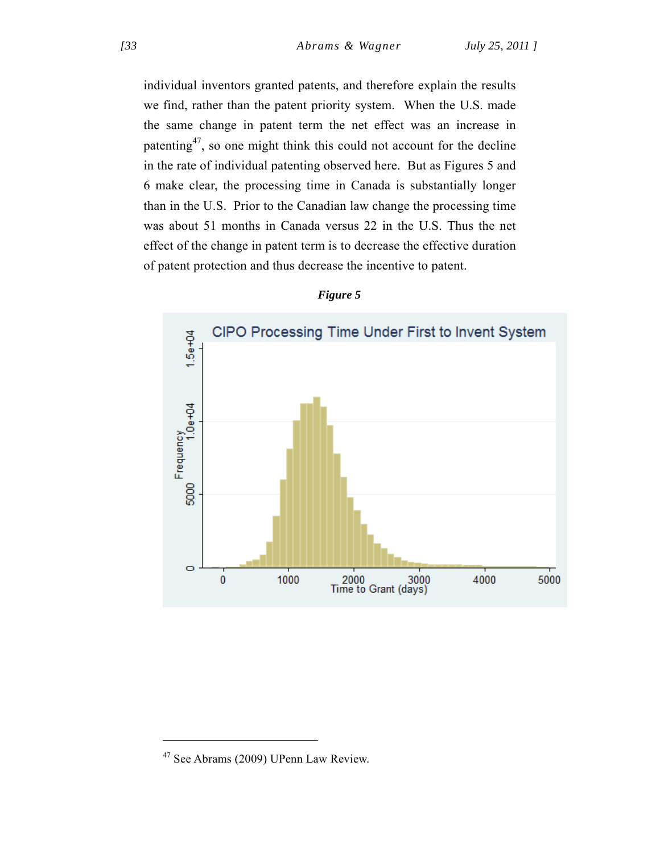individual inventors granted patents, and therefore explain the results we find, rather than the patent priority system. When the U.S. made the same change in patent term the net effect was an increase in patenting47, so one might think this could not account for the decline in the rate of individual patenting observed here. But as Figures 5 and 6 make clear, the processing time in Canada is substantially longer than in the U.S. Prior to the Canadian law change the processing time was about 51 months in Canada versus 22 in the U.S. Thus the net effect of the change in patent term is to decrease the effective duration of patent protection and thus decrease the incentive to patent.



### *Figure 5*

<sup>47</sup> See Abrams (2009) UPenn Law Review.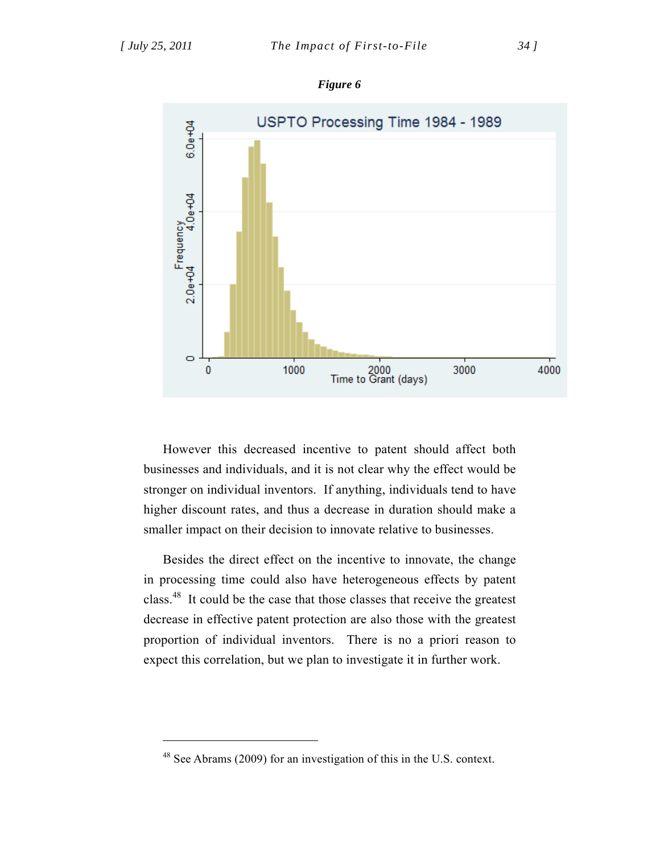$\overline{a}$ 







However this decreased incentive to patent should affect both businesses and individuals, and it is not clear why the effect would be stronger on individual inventors. If anything, individuals tend to have higher discount rates, and thus a decrease in duration should make a smaller impact on their decision to innovate relative to businesses.

Besides the direct effect on the incentive to innovate, the change in processing time could also have heterogeneous effects by patent class.48 It could be the case that those classes that receive the greatest decrease in effective patent protection are also those with the greatest proportion of individual inventors. There is no a priori reason to expect this correlation, but we plan to investigate it in further work.

<sup>48</sup> See Abrams (2009) for an investigation of this in the U.S. context.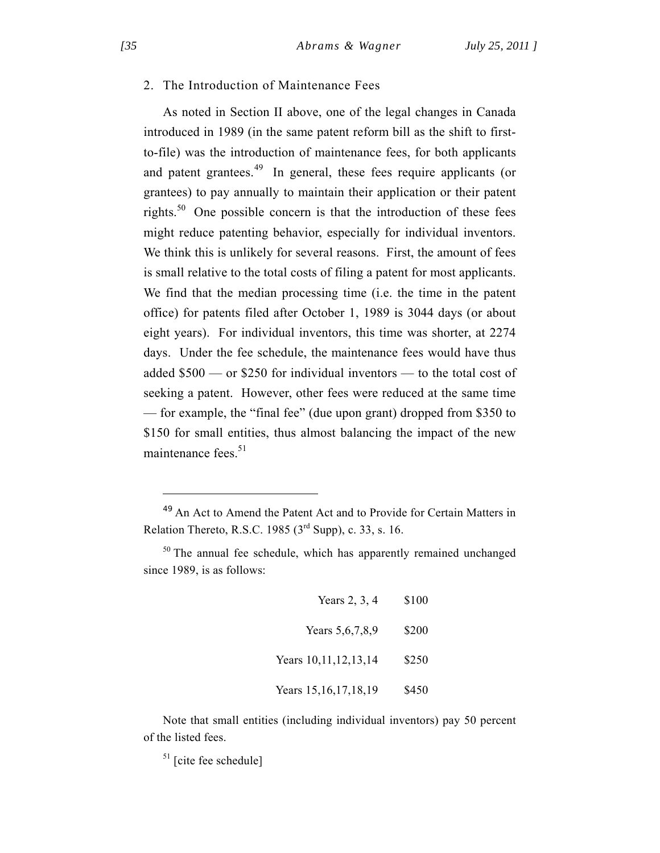## 2. The Introduction of Maintenance Fees

As noted in Section II above, one of the legal changes in Canada introduced in 1989 (in the same patent reform bill as the shift to firstto-file) was the introduction of maintenance fees, for both applicants and patent grantees.<sup>49</sup> In general, these fees require applicants (or grantees) to pay annually to maintain their application or their patent rights.<sup>50</sup> One possible concern is that the introduction of these fees might reduce patenting behavior, especially for individual inventors. We think this is unlikely for several reasons. First, the amount of fees is small relative to the total costs of filing a patent for most applicants. We find that the median processing time (i.e. the time in the patent office) for patents filed after October 1, 1989 is 3044 days (or about eight years). For individual inventors, this time was shorter, at 2274 days. Under the fee schedule, the maintenance fees would have thus added \$500 — or \$250 for individual inventors — to the total cost of seeking a patent. However, other fees were reduced at the same time — for example, the "final fee" (due upon grant) dropped from \$350 to \$150 for small entities, thus almost balancing the impact of the new maintenance fees.<sup>51</sup>

 $50$  The annual fee schedule, which has apparently remained unchanged since 1989, is as follows:

| Years $2, 3, 4$          | \$100 |
|--------------------------|-------|
| Years 5, 6, 7, 8, 9      | \$200 |
| Years 10, 11, 12, 13, 14 | \$250 |
| Years 15, 16, 17, 18, 19 | \$450 |

Note that small entities (including individual inventors) pay 50 percent of the listed fees.

 $51$  [cite fee schedule]

<sup>49</sup> An Act to Amend the Patent Act and to Provide for Certain Matters in Relation Thereto, R.S.C. 1985 ( $3<sup>rd</sup>$  Supp), c. 33, s. 16.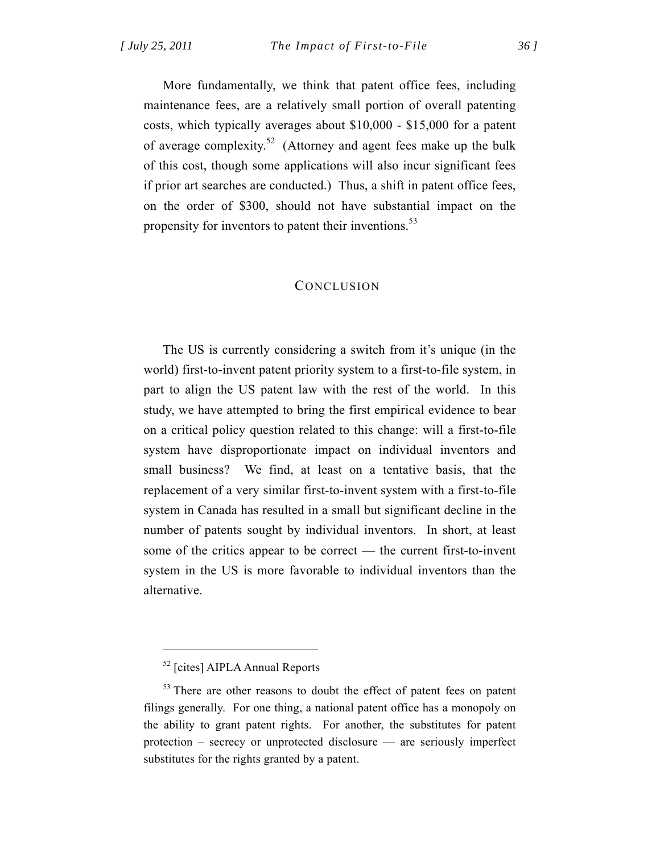More fundamentally, we think that patent office fees, including maintenance fees, are a relatively small portion of overall patenting costs, which typically averages about \$10,000 - \$15,000 for a patent of average complexity.52 (Attorney and agent fees make up the bulk of this cost, though some applications will also incur significant fees if prior art searches are conducted.) Thus, a shift in patent office fees, on the order of \$300, should not have substantial impact on the propensity for inventors to patent their inventions.<sup>53</sup>

## **CONCLUSION**

The US is currently considering a switch from it's unique (in the world) first-to-invent patent priority system to a first-to-file system, in part to align the US patent law with the rest of the world. In this study, we have attempted to bring the first empirical evidence to bear on a critical policy question related to this change: will a first-to-file system have disproportionate impact on individual inventors and small business? We find, at least on a tentative basis, that the replacement of a very similar first-to-invent system with a first-to-file system in Canada has resulted in a small but significant decline in the number of patents sought by individual inventors. In short, at least some of the critics appear to be correct — the current first-to-invent system in the US is more favorable to individual inventors than the alternative.

<sup>52 [</sup>cites] AIPLA Annual Reports

<sup>&</sup>lt;sup>53</sup> There are other reasons to doubt the effect of patent fees on patent filings generally. For one thing, a national patent office has a monopoly on the ability to grant patent rights. For another, the substitutes for patent protection – secrecy or unprotected disclosure — are seriously imperfect substitutes for the rights granted by a patent.